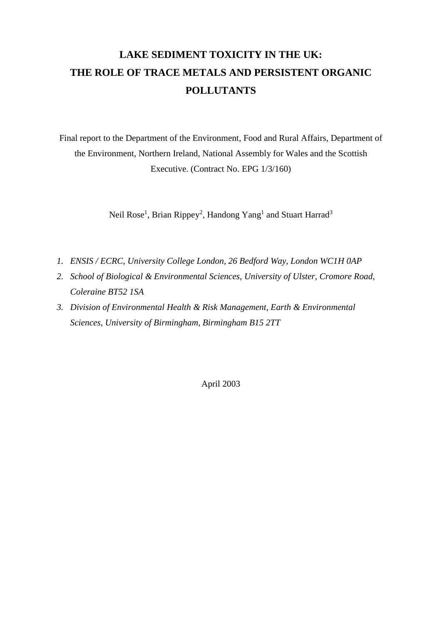# **LAKE SEDIMENT TOXICITY IN THE UK: THE ROLE OF TRACE METALS AND PERSISTENT ORGANIC POLLUTANTS**

Final report to the Department of the Environment, Food and Rural Affairs, Department of the Environment, Northern Ireland, National Assembly for Wales and the Scottish Executive. (Contract No. EPG 1/3/160)

Neil Rose<sup>1</sup>, Brian Rippey<sup>2</sup>, Handong Yang<sup>1</sup> and Stuart Harrad<sup>3</sup>

- *1. ENSIS / ECRC, University College London, 26 Bedford Way, London WC1H 0AP*
- *2. School of Biological & Environmental Sciences, University of Ulster, Cromore Road, Coleraine BT52 1SA*
- *3. Division of Environmental Health & Risk Management, Earth & Environmental Sciences, University of Birmingham, Birmingham B15 2TT*

April 2003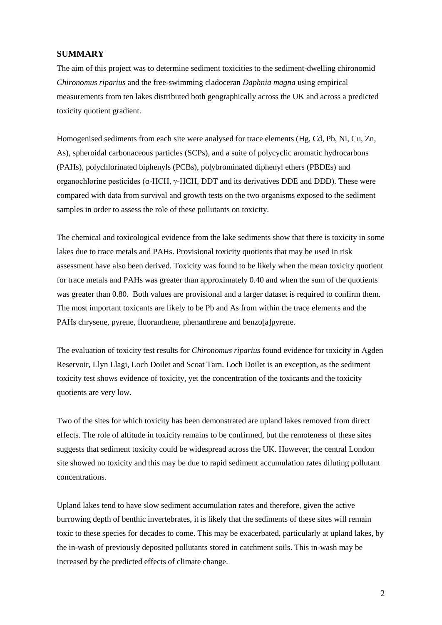## **SUMMARY**

The aim of this project was to determine sediment toxicities to the sediment-dwelling chironomid *Chironomus riparius* and the free-swimming cladoceran *Daphnia magna* using empirical measurements from ten lakes distributed both geographically across the UK and across a predicted toxicity quotient gradient.

Homogenised sediments from each site were analysed for trace elements (Hg, Cd, Pb, Ni, Cu, Zn, As), spheroidal carbonaceous particles (SCPs), and a suite of polycyclic aromatic hydrocarbons (PAHs), polychlorinated biphenyls (PCBs), polybrominated diphenyl ethers (PBDEs) and organochlorine pesticides (α-HCH, γ-HCH, DDT and its derivatives DDE and DDD). These were compared with data from survival and growth tests on the two organisms exposed to the sediment samples in order to assess the role of these pollutants on toxicity.

The chemical and toxicological evidence from the lake sediments show that there is toxicity in some lakes due to trace metals and PAHs. Provisional toxicity quotients that may be used in risk assessment have also been derived. Toxicity was found to be likely when the mean toxicity quotient for trace metals and PAHs was greater than approximately 0.40 and when the sum of the quotients was greater than 0.80. Both values are provisional and a larger dataset is required to confirm them. The most important toxicants are likely to be Pb and As from within the trace elements and the PAHs chrysene, pyrene, fluoranthene, phenanthrene and benzo[a]pyrene.

The evaluation of toxicity test results for *Chironomus riparius* found evidence for toxicity in Agden Reservoir, Llyn Llagi, Loch Doilet and Scoat Tarn. Loch Doilet is an exception, as the sediment toxicity test shows evidence of toxicity, yet the concentration of the toxicants and the toxicity quotients are very low.

Two of the sites for which toxicity has been demonstrated are upland lakes removed from direct effects. The role of altitude in toxicity remains to be confirmed, but the remoteness of these sites suggests that sediment toxicity could be widespread across the UK. However, the central London site showed no toxicity and this may be due to rapid sediment accumulation rates diluting pollutant concentrations.

Upland lakes tend to have slow sediment accumulation rates and therefore, given the active burrowing depth of benthic invertebrates, it is likely that the sediments of these sites will remain toxic to these species for decades to come. This may be exacerbated, particularly at upland lakes, by the in-wash of previously deposited pollutants stored in catchment soils. This in-wash may be increased by the predicted effects of climate change.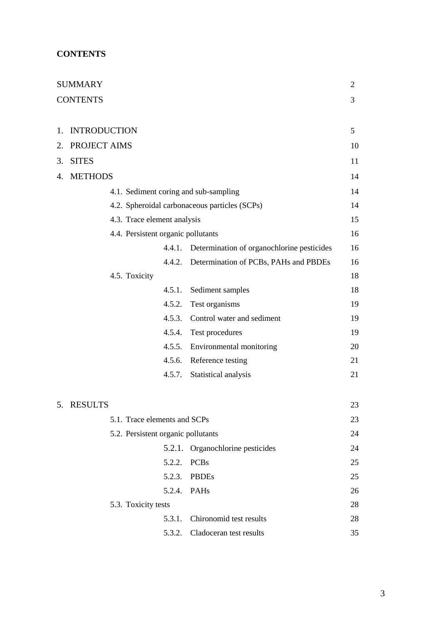## **CONTENTS**

|    | <b>SUMMARY</b>      |                                    |        |                                               | $\overline{2}$ |
|----|---------------------|------------------------------------|--------|-----------------------------------------------|----------------|
|    | <b>CONTENTS</b>     |                                    |        |                                               | 3              |
|    |                     |                                    |        |                                               |                |
| 1. | <b>INTRODUCTION</b> |                                    |        |                                               | 5              |
| 2. | PROJECT AIMS        |                                    |        |                                               | 10             |
| 3. | <b>SITES</b>        |                                    |        |                                               | 11             |
|    | 4. METHODS          |                                    |        |                                               | 14             |
|    |                     |                                    |        | 4.1. Sediment coring and sub-sampling         | 14             |
|    |                     |                                    |        | 4.2. Spheroidal carbonaceous particles (SCPs) | 14             |
|    |                     | 4.3. Trace element analysis        |        |                                               | 15             |
|    |                     | 4.4. Persistent organic pollutants |        |                                               | 16             |
|    |                     |                                    | 4.4.1. | Determination of organochlorine pesticides    | 16             |
|    |                     |                                    |        | 4.4.2. Determination of PCBs, PAHs and PBDEs  | 16             |
|    |                     | 4.5. Toxicity                      |        |                                               | 18             |
|    |                     |                                    | 4.5.1. | Sediment samples                              | 18             |
|    |                     |                                    | 4.5.2. | Test organisms                                | 19             |
|    |                     |                                    | 4.5.3. | Control water and sediment                    | 19             |
|    |                     |                                    | 4.5.4. | Test procedures                               | 19             |
|    |                     |                                    | 4.5.5. | Environmental monitoring                      | 20             |
|    |                     |                                    |        | 4.5.6. Reference testing                      | 21             |
|    |                     |                                    |        | 4.5.7. Statistical analysis                   | 21             |
|    |                     |                                    |        |                                               |                |
|    | 5. RESULTS          |                                    |        |                                               | 23             |
|    |                     | 5.1. Trace elements and SCPs       |        |                                               | 23             |
|    |                     | 5.2. Persistent organic pollutants |        |                                               | 24             |
|    |                     |                                    | 5.2.1. | Organochlorine pesticides                     | 24             |
|    |                     |                                    | 5.2.2. | <b>PCBs</b>                                   | 25             |
|    |                     |                                    | 5.2.3. | <b>PBDEs</b>                                  | 25             |
|    |                     |                                    | 5.2.4. | PAHs                                          | 26             |
|    |                     | 5.3. Toxicity tests                |        |                                               | 28             |
|    |                     |                                    | 5.3.1. | Chironomid test results                       | 28             |
|    |                     |                                    | 5.3.2. | Cladoceran test results                       | 35             |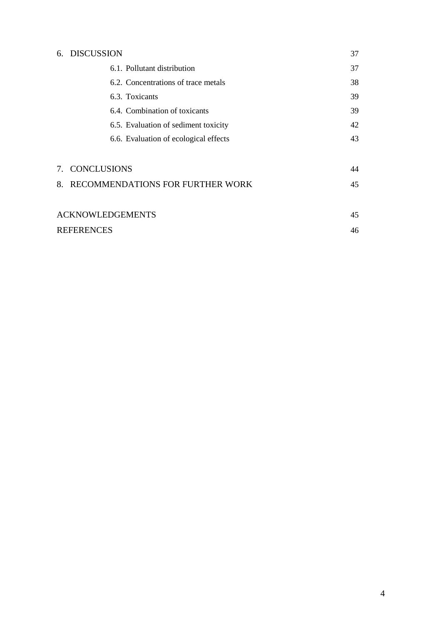|    | 6. DISCUSSION                         | 37 |
|----|---------------------------------------|----|
|    | 6.1. Pollutant distribution           | 37 |
|    | 6.2. Concentrations of trace metals   | 38 |
|    | 6.3. Toxicants                        | 39 |
|    | 6.4. Combination of toxicants         | 39 |
|    | 6.5. Evaluation of sediment toxicity  | 42 |
|    | 6.6. Evaluation of ecological effects | 43 |
|    | 7. CONCLUSIONS                        | 44 |
| 8. | RECOMMENDATIONS FOR FURTHER WORK      | 45 |
|    |                                       |    |
|    | <b>ACKNOWLEDGEMENTS</b>               | 45 |
|    | <b>REFERENCES</b>                     | 46 |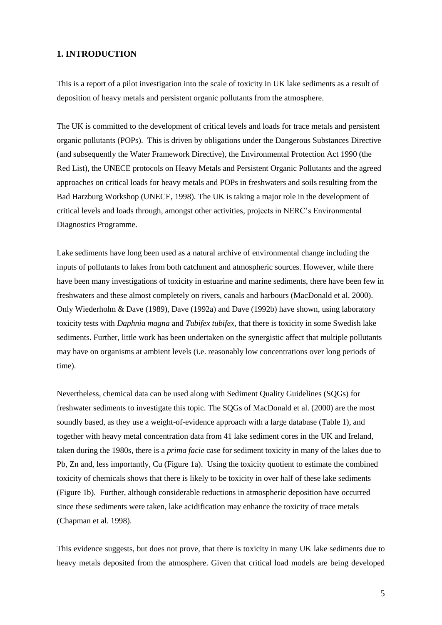## **1. INTRODUCTION**

This is a report of a pilot investigation into the scale of toxicity in UK lake sediments as a result of deposition of heavy metals and persistent organic pollutants from the atmosphere.

The UK is committed to the development of critical levels and loads for trace metals and persistent organic pollutants (POPs). This is driven by obligations under the Dangerous Substances Directive (and subsequently the Water Framework Directive), the Environmental Protection Act 1990 (the Red List), the UNECE protocols on Heavy Metals and Persistent Organic Pollutants and the agreed approaches on critical loads for heavy metals and POPs in freshwaters and soils resulting from the Bad Harzburg Workshop (UNECE, 1998). The UK is taking a major role in the development of critical levels and loads through, amongst other activities, projects in NERC's Environmental Diagnostics Programme.

Lake sediments have long been used as a natural archive of environmental change including the inputs of pollutants to lakes from both catchment and atmospheric sources. However, while there have been many investigations of toxicity in estuarine and marine sediments, there have been few in freshwaters and these almost completely on rivers, canals and harbours (MacDonald et al. 2000). Only Wiederholm & Dave (1989), Dave (1992a) and Dave (1992b) have shown, using laboratory toxicity tests with *Daphnia magna* and *Tubifex tubifex*, that there is toxicity in some Swedish lake sediments. Further, little work has been undertaken on the synergistic affect that multiple pollutants may have on organisms at ambient levels (i.e. reasonably low concentrations over long periods of time).

Nevertheless, chemical data can be used along with Sediment Quality Guidelines (SQGs) for freshwater sediments to investigate this topic. The SQGs of MacDonald et al. (2000) are the most soundly based, as they use a weight-of-evidence approach with a large database (Table 1), and together with heavy metal concentration data from 41 lake sediment cores in the UK and Ireland, taken during the 1980s, there is a *prima facie* case for sediment toxicity in many of the lakes due to Pb, Zn and, less importantly, Cu (Figure 1a). Using the toxicity quotient to estimate the combined toxicity of chemicals shows that there is likely to be toxicity in over half of these lake sediments (Figure 1b). Further, although considerable reductions in atmospheric deposition have occurred since these sediments were taken, lake acidification may enhance the toxicity of trace metals (Chapman et al. 1998).

This evidence suggests, but does not prove, that there is toxicity in many UK lake sediments due to heavy metals deposited from the atmosphere. Given that critical load models are being developed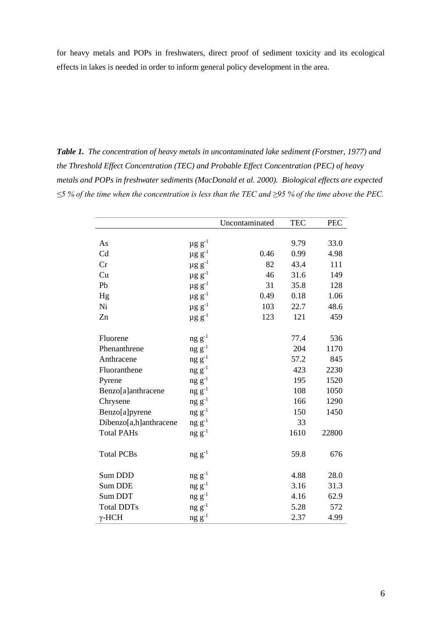for heavy metals and POPs in freshwaters, direct proof of sediment toxicity and its ecological effects in lakes is needed in order to inform general policy development in the area.

*Table 1. The concentration of heavy metals in uncontaminated lake sediment (Forstner, 1977) and the Threshold Effect Concentration (TEC) and Probable Effect Concentration (PEC) of heavy metals and POPs in freshwater sediments (MacDonald et al. 2000). Biological effects are expected ≤5 % of the time when the concentration is less than the TEC and ≥95 % of the time above the PEC.*

|                        |                         | Uncontaminated | <b>TEC</b> | <b>PEC</b> |
|------------------------|-------------------------|----------------|------------|------------|
|                        |                         |                |            |            |
| As                     | $\mu$ g g $^{-1}$       |                | 9.79       | 33.0       |
| Cd                     | $\mu$ g g $^{-1}$       | 0.46           | 0.99       | 4.98       |
| Cr                     | $\mu$ g g $^{-1}$       | 82             | 43.4       | 111        |
| Cu                     | $\mu$ g g $^{-1}$       | 46             | 31.6       | 149        |
| Pb                     | $\mu$ g g <sup>-1</sup> | 31             | 35.8       | 128        |
| Hg                     | $\mu g g^{-1}$          | 0.49           | 0.18       | 1.06       |
| Ni                     | $\mu$ g g <sup>-1</sup> | 103            | 22.7       | 48.6       |
| Zn                     | $\mu$ g g $^{-1}$       | 123            | 121        | 459        |
| Fluorene               | $ng g^{-1}$             |                | 77.4       | 536        |
| Phenanthrene           | $ng g^{-1}$             |                | 204        | 1170       |
| Anthracene             | $ng g^{-1}$             |                | 57.2       | 845        |
| Fluoranthene           | $ng g^{-1}$             |                | 423        | 2230       |
| Pyrene                 | $ng g^{-1}$             |                | 195        | 1520       |
| Benzo[a]anthracene     | $ng g^{-1}$             |                | 108        | 1050       |
| Chrysene               | $ng g^{-1}$             |                | 166        | 1290       |
| Benzo[a]pyrene         | $ng g^{-1}$             |                | 150        | 1450       |
| Dibenzo[a,h]anthracene | $ng g^{-1}$             |                | 33         |            |
| <b>Total PAHs</b>      | $ng g^{-1}$             |                | 1610       | 22800      |
| <b>Total PCBs</b>      | $ng g^{-1}$             |                | 59.8       | 676        |
| Sum DDD                | $ng g^{-1}$             |                | 4.88       | 28.0       |
| <b>Sum DDE</b>         | $ng g^{-1}$             |                | 3.16       | 31.3       |
| Sum DDT                | $ng g^{-1}$             |                | 4.16       | 62.9       |
| <b>Total DDTs</b>      | $ng g^{-1}$             |                | 5.28       | 572        |
| $\gamma$ -HCH          | $ng g^{-1}$             |                | 2.37       | 4.99       |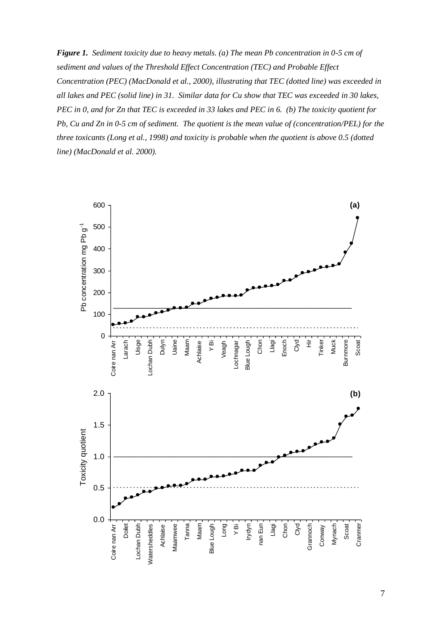*Figure 1. Sediment toxicity due to heavy metals. (a) The mean Pb concentration in 0-5 cm of sediment and values of the Threshold Effect Concentration (TEC) and Probable Effect Concentration (PEC) (MacDonald et al., 2000), illustrating that TEC (dotted line) was exceeded in all lakes and PEC (solid line) in 31. Similar data for Cu show that TEC was exceeded in 30 lakes, PEC in 0, and for Zn that TEC is exceeded in 33 lakes and PEC in 6. (b) The toxicity quotient for Pb, Cu and Zn in 0-5 cm of sediment. The quotient is the mean value of (concentration/PEL) for the three toxicants (Long et al., 1998) and toxicity is probable when the quotient is above 0.5 (dotted line) (MacDonald et al. 2000).*

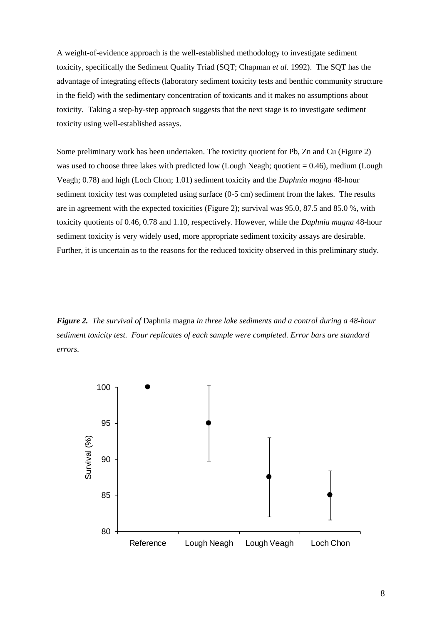A weight-of-evidence approach is the well-established methodology to investigate sediment toxicity, specifically the Sediment Quality Triad (SQT; Chapman *et al.* 1992). The SQT has the advantage of integrating effects (laboratory sediment toxicity tests and benthic community structure in the field) with the sedimentary concentration of toxicants and it makes no assumptions about toxicity. Taking a step-by-step approach suggests that the next stage is to investigate sediment toxicity using well-established assays.

Some preliminary work has been undertaken. The toxicity quotient for Pb, Zn and Cu (Figure 2) was used to choose three lakes with predicted low (Lough Neagh; quotient = 0.46), medium (Lough Veagh; 0.78) and high (Loch Chon; 1.01) sediment toxicity and the *Daphnia magna* 48-hour sediment toxicity test was completed using surface (0-5 cm) sediment from the lakes. The results are in agreement with the expected toxicities (Figure 2); survival was 95.0, 87.5 and 85.0 %, with toxicity quotients of 0.46, 0.78 and 1.10, respectively. However, while the *Daphnia magna* 48-hour sediment toxicity is very widely used, more appropriate sediment toxicity assays are desirable. Further, it is uncertain as to the reasons for the reduced toxicity observed in this preliminary study.

*Figure 2. The survival of* Daphnia magna *in three lake sediments and a control during a 48-hour sediment toxicity test. Four replicates of each sample were completed. Error bars are standard errors.*

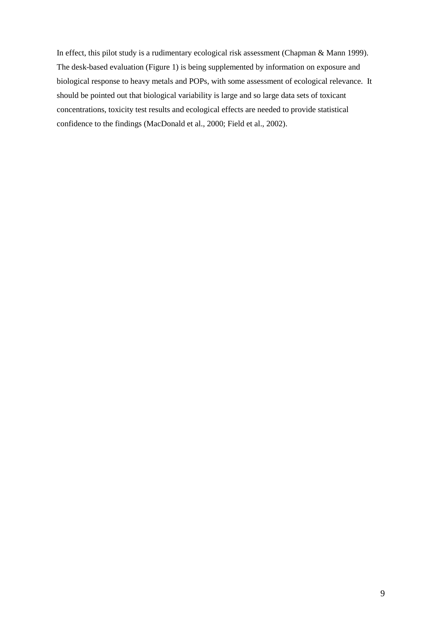In effect, this pilot study is a rudimentary ecological risk assessment (Chapman & Mann 1999). The desk-based evaluation (Figure 1) is being supplemented by information on exposure and biological response to heavy metals and POPs, with some assessment of ecological relevance. It should be pointed out that biological variability is large and so large data sets of toxicant concentrations, toxicity test results and ecological effects are needed to provide statistical confidence to the findings (MacDonald et al., 2000; Field et al., 2002).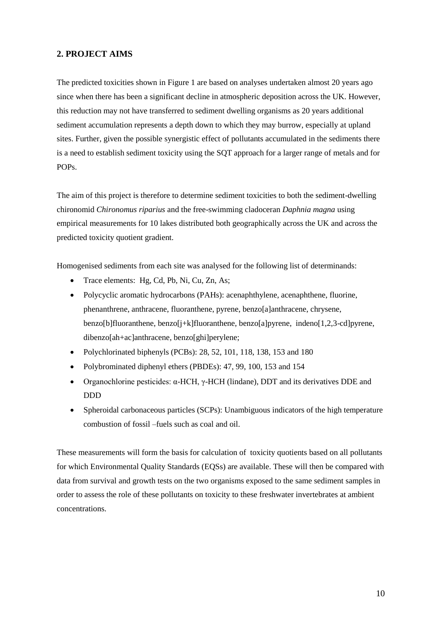## **2. PROJECT AIMS**

The predicted toxicities shown in Figure 1 are based on analyses undertaken almost 20 years ago since when there has been a significant decline in atmospheric deposition across the UK. However, this reduction may not have transferred to sediment dwelling organisms as 20 years additional sediment accumulation represents a depth down to which they may burrow, especially at upland sites. Further, given the possible synergistic effect of pollutants accumulated in the sediments there is a need to establish sediment toxicity using the SQT approach for a larger range of metals and for POPs.

The aim of this project is therefore to determine sediment toxicities to both the sediment-dwelling chironomid *Chironomus riparius* and the free-swimming cladoceran *Daphnia magna* using empirical measurements for 10 lakes distributed both geographically across the UK and across the predicted toxicity quotient gradient.

Homogenised sediments from each site was analysed for the following list of determinands:

- Trace elements: Hg, Cd, Pb, Ni, Cu, Zn, As;
- Polycyclic aromatic hydrocarbons (PAHs): acenaphthylene, acenaphthene, fluorine, phenanthrene, anthracene, fluoranthene, pyrene, benzo[a]anthracene, chrysene, benzo[b]fluoranthene, benzo[j+k]fluoranthene, benzo[a]pyrene, indeno[1,2,3-cd]pyrene, dibenzo[ah+ac]anthracene, benzo[ghi]perylene;
- Polychlorinated biphenyls (PCBs): 28, 52, 101, 118, 138, 153 and 180
- Polybrominated diphenyl ethers (PBDEs): 47, 99, 100, 153 and 154
- Organochlorine pesticides:  $\alpha$ -HCH,  $\gamma$ -HCH (lindane), DDT and its derivatives DDE and DDD
- Spheroidal carbonaceous particles (SCPs): Unambiguous indicators of the high temperature combustion of fossil –fuels such as coal and oil.

These measurements will form the basis for calculation of toxicity quotients based on all pollutants for which Environmental Quality Standards (EQSs) are available. These will then be compared with data from survival and growth tests on the two organisms exposed to the same sediment samples in order to assess the role of these pollutants on toxicity to these freshwater invertebrates at ambient concentrations.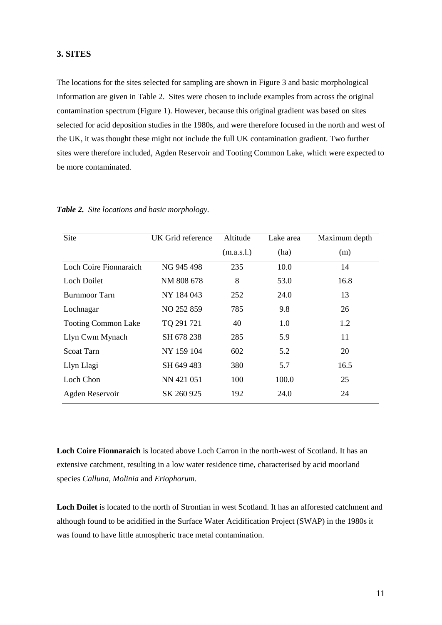## **3. SITES**

The locations for the sites selected for sampling are shown in Figure 3 and basic morphological information are given in Table 2. Sites were chosen to include examples from across the original contamination spectrum (Figure 1). However, because this original gradient was based on sites selected for acid deposition studies in the 1980s, and were therefore focused in the north and west of the UK, it was thought these might not include the full UK contamination gradient. Two further sites were therefore included, Agden Reservoir and Tooting Common Lake, which were expected to be more contaminated.

| Site                       | UK Grid reference | Altitude   | Lake area | Maximum depth |
|----------------------------|-------------------|------------|-----------|---------------|
|                            |                   | (m.a.s.l.) | (ha)      | (m)           |
| Loch Coire Fionnaraich     | NG 945 498        | 235        | 10.0      | 14            |
| Loch Doilet                | NM 808 678        | 8          | 53.0      | 16.8          |
| Burnmoor Tarn              | NY 184 043        | 252        | 24.0      | 13            |
| Lochnagar                  | NO 252 859        | 785        | 9.8       | 26            |
| <b>Tooting Common Lake</b> | TQ 291 721        | 40         | 1.0       | 1.2           |
| Llyn Cwm Mynach            | SH 678 238        | 285        | 5.9       | 11            |
| Scoat Tarn                 | NY 159 104        | 602        | 5.2       | 20            |
| Llyn Llagi                 | SH 649 483        | 380        | 5.7       | 16.5          |
| Loch Chon                  | NN 421 051        | 100        | 100.0     | 25            |
| Agden Reservoir            | SK 260 925        | 192        | 24.0      | 24            |

*Table 2. Site locations and basic morphology.*

**Loch Coire Fionnaraich** is located above Loch Carron in the north-west of Scotland. It has an extensive catchment, resulting in a low water residence time, characterised by acid moorland species *Calluna, Molinia* and *Eriophorum.*

**Loch Doilet** is located to the north of Strontian in west Scotland. It has an afforested catchment and although found to be acidified in the Surface Water Acidification Project (SWAP) in the 1980s it was found to have little atmospheric trace metal contamination.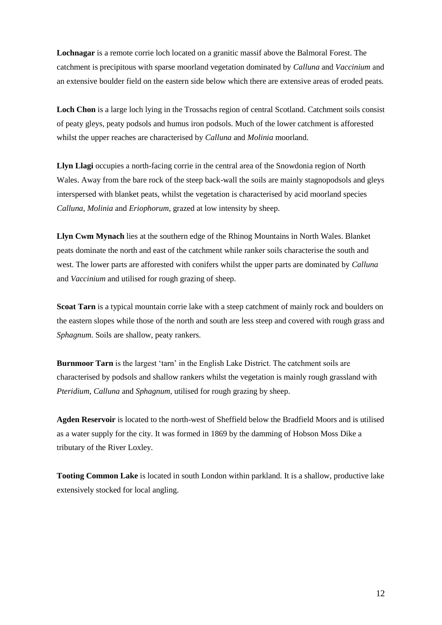**Lochnagar** is a remote corrie loch located on a granitic massif above the Balmoral Forest. The catchment is precipitous with sparse moorland vegetation dominated by *Calluna* and *Vaccinium* and an extensive boulder field on the eastern side below which there are extensive areas of eroded peats.

**Loch Chon** is a large loch lying in the Trossachs region of central Scotland. Catchment soils consist of peaty gleys, peaty podsols and humus iron podsols. Much of the lower catchment is afforested whilst the upper reaches are characterised by *Calluna* and *Molinia* moorland.

**Llyn Llagi** occupies a north-facing corrie in the central area of the Snowdonia region of North Wales. Away from the bare rock of the steep back-wall the soils are mainly stagnopodsols and gleys interspersed with blanket peats, whilst the vegetation is characterised by acid moorland species *Calluna, Molinia* and *Eriophorum,* grazed at low intensity by sheep.

**Llyn Cwm Mynach** lies at the southern edge of the Rhinog Mountains in North Wales. Blanket peats dominate the north and east of the catchment while ranker soils characterise the south and west. The lower parts are afforested with conifers whilst the upper parts are dominated by *Calluna* and *Vaccinium* and utilised for rough grazing of sheep.

**Scoat Tarn** is a typical mountain corrie lake with a steep catchment of mainly rock and boulders on the eastern slopes while those of the north and south are less steep and covered with rough grass and *Sphagnum*. Soils are shallow, peaty rankers.

**Burnmoor Tarn** is the largest 'tarn' in the English Lake District. The catchment soils are characterised by podsols and shallow rankers whilst the vegetation is mainly rough grassland with *Pteridium, Calluna* and *Sphagnum*, utilised for rough grazing by sheep.

**Agden Reservoir** is located to the north-west of Sheffield below the Bradfield Moors and is utilised as a water supply for the city. It was formed in 1869 by the damming of Hobson Moss Dike a tributary of the River Loxley.

**Tooting Common Lake** is located in south London within parkland. It is a shallow, productive lake extensively stocked for local angling.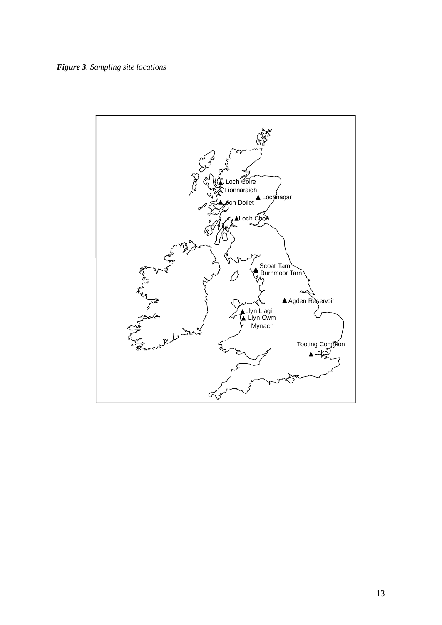*Figure 3. Sampling site locations*

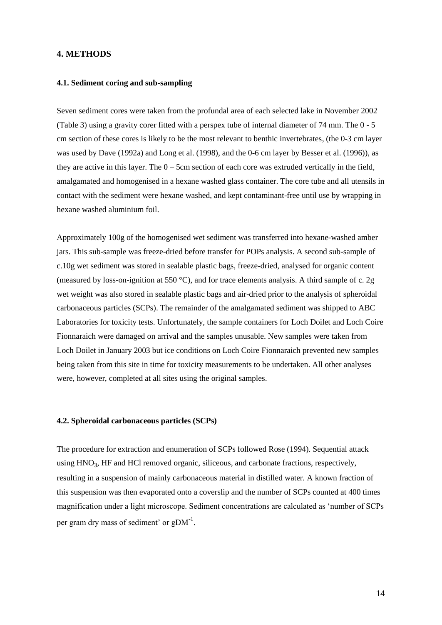## **4. METHODS**

#### **4.1. Sediment coring and sub-sampling**

Seven sediment cores were taken from the profundal area of each selected lake in November 2002 (Table 3) using a gravity corer fitted with a perspex tube of internal diameter of 74 mm. The 0 - 5 cm section of these cores is likely to be the most relevant to benthic invertebrates, (the 0-3 cm layer was used by Dave (1992a) and Long et al. (1998), and the 0-6 cm layer by Besser et al. (1996)), as they are active in this layer. The  $0 - 5$ cm section of each core was extruded vertically in the field, amalgamated and homogenised in a hexane washed glass container. The core tube and all utensils in contact with the sediment were hexane washed, and kept contaminant-free until use by wrapping in hexane washed aluminium foil.

Approximately 100g of the homogenised wet sediment was transferred into hexane-washed amber jars. This sub-sample was freeze-dried before transfer for POPs analysis. A second sub-sample of c.10g wet sediment was stored in sealable plastic bags, freeze-dried, analysed for organic content (measured by loss-on-ignition at 550 °C), and for trace elements analysis. A third sample of c. 2g wet weight was also stored in sealable plastic bags and air-dried prior to the analysis of spheroidal carbonaceous particles (SCPs). The remainder of the amalgamated sediment was shipped to ABC Laboratories for toxicity tests. Unfortunately, the sample containers for Loch Doilet and Loch Coire Fionnaraich were damaged on arrival and the samples unusable. New samples were taken from Loch Doilet in January 2003 but ice conditions on Loch Coire Fionnaraich prevented new samples being taken from this site in time for toxicity measurements to be undertaken. All other analyses were, however, completed at all sites using the original samples.

## **4.2. Spheroidal carbonaceous particles (SCPs)**

The procedure for extraction and enumeration of SCPs followed Rose (1994). Sequential attack using HNO<sub>3</sub>, HF and HCl removed organic, siliceous, and carbonate fractions, respectively, resulting in a suspension of mainly carbonaceous material in distilled water. A known fraction of this suspension was then evaporated onto a coverslip and the number of SCPs counted at 400 times magnification under a light microscope. Sediment concentrations are calculated as 'number of SCPs per gram dry mass of sediment' or  $gDM^{-1}$ .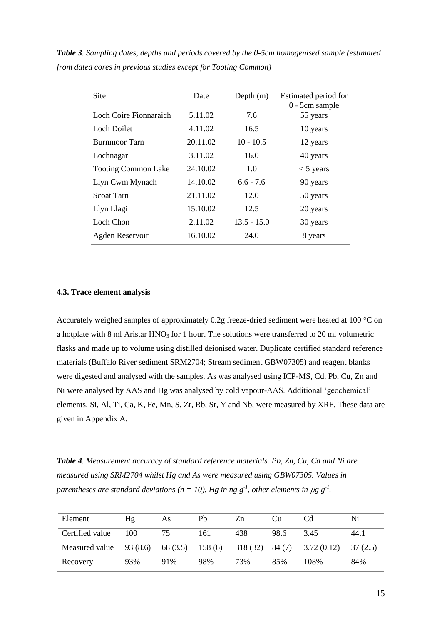| Date     | Depth $(m)$   | Estimated period for |
|----------|---------------|----------------------|
|          |               | 0 - 5cm sample       |
| 5.11.02  | 7.6           | 55 years             |
| 4.11.02  | 16.5          | 10 years             |
| 20.11.02 | $10 - 10.5$   | 12 years             |
| 3.11.02  | 16.0          | 40 years             |
| 24.10.02 | 1.0           | $<$ 5 years          |
| 14.10.02 | $6.6 - 7.6$   | 90 years             |
| 21.11.02 | 12.0          | 50 years             |
| 15.10.02 | 12.5          | 20 years             |
| 2.11.02  | $13.5 - 15.0$ | 30 years             |
| 16.10.02 | 24.0          | 8 years              |
|          |               |                      |

*Table 3. Sampling dates, depths and periods covered by the 0-5cm homogenised sample (estimated from dated cores in previous studies except for Tooting Common)*

## **4.3. Trace element analysis**

Accurately weighed samples of approximately 0.2g freeze-dried sediment were heated at 100 °C on a hotplate with 8 ml Aristar HNO<sub>3</sub> for 1 hour. The solutions were transferred to 20 ml volumetric flasks and made up to volume using distilled deionised water. Duplicate certified standard reference materials (Buffalo River sediment SRM2704; Stream sediment GBW07305) and reagent blanks were digested and analysed with the samples. As was analysed using ICP-MS, Cd, Pb, Cu, Zn and Ni were analysed by AAS and Hg was analysed by cold vapour-AAS. Additional 'geochemical' elements, Si, Al, Ti, Ca, K, Fe, Mn, S, Zr, Rb, Sr, Y and Nb, were measured by XRF. These data are given in Appendix A.

*Table 4. Measurement accuracy of standard reference materials. Pb, Zn, Cu, Cd and Ni are measured using SRM2704 whilst Hg and As were measured using GBW07305. Values in*  parentheses are standard deviations ( $n = 10$ ). Hg in ng  $g^{-1}$ , other elements in  $\mu$ g  $g^{-1}$ .

| Element         | Ηg       | As                | Pb  | Zn  | Cп   | Cd.                            | Ni      |
|-----------------|----------|-------------------|-----|-----|------|--------------------------------|---------|
| Certified value | 100      | 75                | 161 | 438 | 98.6 | 345                            | 44.1    |
| Measured value  | 93 (8.6) | $68(3.5)$ 158 (6) |     |     |      | $318(32)$ $84(7)$ $3.72(0.12)$ | 37(2.5) |
| Recovery        | 93%      | 91%               | 98% | 73% | 85%  | 108%                           | 84%     |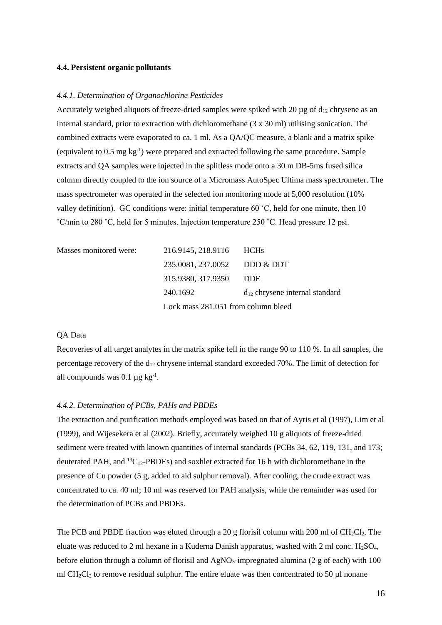#### **4.4. Persistent organic pollutants**

#### *4.4.1. Determination of Organochlorine Pesticides*

Accurately weighed aliquots of freeze-dried samples were spiked with 20  $\mu$ g of d<sub>12</sub> chrysene as an internal standard, prior to extraction with dichloromethane (3 x 30 ml) utilising sonication. The combined extracts were evaporated to ca. 1 ml. As a QA/QC measure, a blank and a matrix spike (equivalent to 0.5 mg kg-1 ) were prepared and extracted following the same procedure. Sample extracts and QA samples were injected in the splitless mode onto a 30 m DB-5ms fused silica column directly coupled to the ion source of a Micromass AutoSpec Ultima mass spectrometer. The mass spectrometer was operated in the selected ion monitoring mode at 5,000 resolution (10% valley definition). GC conditions were: initial temperature 60  $^{\circ}$ C, held for one minute, then 10 ˚C/min to 280 ˚C, held for 5 minutes. Injection temperature 250 ˚C. Head pressure 12 psi.

| Masses monitored were: | 216.9145, 218.9116 HCHs             |                                     |
|------------------------|-------------------------------------|-------------------------------------|
|                        | 235.0081, 237.0052 DDD & DDT        |                                     |
|                        | 315.9380, 317.9350                  | <b>DDE</b>                          |
|                        | 240.1692                            | $d_{12}$ chrysene internal standard |
|                        | Lock mass 281.051 from column bleed |                                     |

#### QA Data

Recoveries of all target analytes in the matrix spike fell in the range 90 to 110 %. In all samples, the percentage recovery of the  $d_{12}$  chrysene internal standard exceeded 70%. The limit of detection for all compounds was  $0.1 \mu$ g kg<sup>-1</sup>.

#### *4.4.2. Determination of PCBs, PAHs and PBDEs*

The extraction and purification methods employed was based on that of Ayris et al (1997), Lim et al (1999), and Wijesekera et al (2002). Briefly, accurately weighed 10 g aliquots of freeze-dried sediment were treated with known quantities of internal standards (PCBs 34, 62, 119, 131, and 173; deuterated PAH, and  ${}^{13}C_{12}$ -PBDEs) and soxhlet extracted for 16 h with dichloromethane in the presence of Cu powder (5 g, added to aid sulphur removal). After cooling, the crude extract was concentrated to ca. 40 ml; 10 ml was reserved for PAH analysis, while the remainder was used for the determination of PCBs and PBDEs.

The PCB and PBDE fraction was eluted through a 20 g florisil column with 200 ml of  $CH_2Cl_2$ . The eluate was reduced to 2 ml hexane in a Kuderna Danish apparatus, washed with 2 ml conc. H2SO4, before elution through a column of florisil and  $AgNO<sub>3</sub>$ -impregnated alumina (2 g of each) with 100 ml CH<sub>2</sub>Cl<sub>2</sub> to remove residual sulphur. The entire eluate was then concentrated to 50  $\mu$ l nonane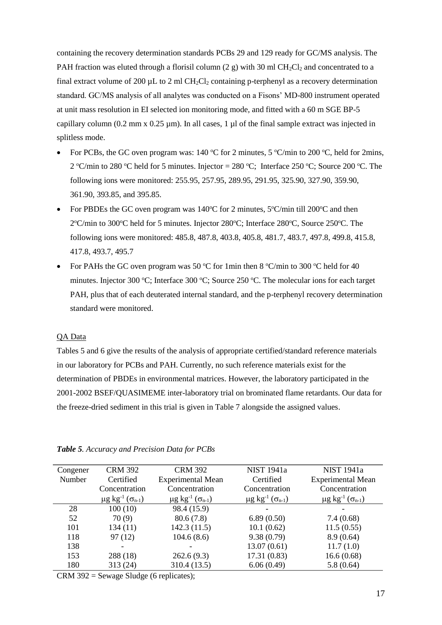containing the recovery determination standards PCBs 29 and 129 ready for GC/MS analysis. The PAH fraction was eluted through a florisil column (2 g) with 30 ml  $CH_2Cl_2$  and concentrated to a final extract volume of 200  $\mu$ L to 2 ml CH<sub>2</sub>Cl<sub>2</sub> containing p-terphenyl as a recovery determination standard. GC/MS analysis of all analytes was conducted on a Fisons' MD-800 instrument operated at unit mass resolution in EI selected ion monitoring mode, and fitted with a 60 m SGE BP-5 capillary column (0.2 mm x  $0.25 \mu$ m). In all cases, 1  $\mu$ l of the final sample extract was injected in splitless mode.

- For PCBs, the GC oven program was: 140 °C for 2 minutes, 5 °C/min to 200 °C, held for 2mins, 2 °C/min to 280 °C held for 5 minutes. Injector = 280 °C; Interface 250 °C; Source 200 °C. The following ions were monitored: 255.95, 257.95, 289.95, 291.95, 325.90, 327.90, 359.90, 361.90, 393.85, and 395.85.
- For PBDEs the GC oven program was  $140^{\circ}$ C for 2 minutes,  $5^{\circ}$ C/min till 200 $^{\circ}$ C and then 2°C/min to 300°C held for 5 minutes. Injector 280°C; Interface 280°C, Source 250°C. The following ions were monitored: 485.8, 487.8, 403.8, 405.8, 481.7, 483.7, 497.8, 499.8, 415.8, 417.8, 493.7, 495.7
- For PAHs the GC oven program was 50 °C for 1min then 8 °C/min to 300 °C held for 40 minutes. Injector 300 °C; Interface 300 °C; Source 250 °C. The molecular ions for each target PAH, plus that of each deuterated internal standard, and the p-terphenyl recovery determination standard were monitored.

## QA Data

Tables 5 and 6 give the results of the analysis of appropriate certified/standard reference materials in our laboratory for PCBs and PAH. Currently, no such reference materials exist for the determination of PBDEs in environmental matrices. However, the laboratory participated in the 2001-2002 BSEF/QUASIMEME inter-laboratory trial on brominated flame retardants. Our data for the freeze-dried sediment in this trial is given in Table 7 alongside the assigned values.

| Congener | <b>CRM 392</b>                                       | <b>CRM 392</b>                                       | NIST 1941a                                           | <b>NIST 1941a</b>                                    |
|----------|------------------------------------------------------|------------------------------------------------------|------------------------------------------------------|------------------------------------------------------|
| Number   | Certified                                            | <b>Experimental Mean</b>                             | Certified                                            | <b>Experimental Mean</b>                             |
|          | Concentration                                        | Concentration                                        | Concentration                                        | Concentration                                        |
|          | $\mu$ g kg <sup>-1</sup> ( $\sigma$ <sub>n-1</sub> ) | $\mu$ g kg <sup>-1</sup> ( $\sigma$ <sub>n-1</sub> ) | $\mu$ g kg <sup>-1</sup> ( $\sigma$ <sub>n-1</sub> ) | $\mu$ g kg <sup>-1</sup> ( $\sigma$ <sub>n-1</sub> ) |
| 28       | 100(10)                                              | 98.4 (15.9)                                          |                                                      |                                                      |
| 52       | 70(9)                                                | 80.6(7.8)                                            | 6.89(0.50)                                           | 7.4(0.68)                                            |
| 101      | 134(11)                                              | 142.3(11.5)                                          | 10.1(0.62)                                           | 11.5(0.55)                                           |
| 118      | 97(12)                                               | 104.6(8.6)                                           | 9.38(0.79)                                           | 8.9(0.64)                                            |
| 138      |                                                      |                                                      | 13.07(0.61)                                          | 11.7(1.0)                                            |
| 153      | 288 (18)                                             | 262.6(9.3)                                           | 17.31(0.83)                                          | 16.6(0.68)                                           |
| 180      | 313 (24)                                             | 310.4 (13.5)                                         | 6.06(0.49)                                           | 5.8(0.64)                                            |
|          |                                                      |                                                      |                                                      |                                                      |

#### *Table 5. Accuracy and Precision Data for PCBs*

CRM 392 = Sewage Sludge (6 replicates);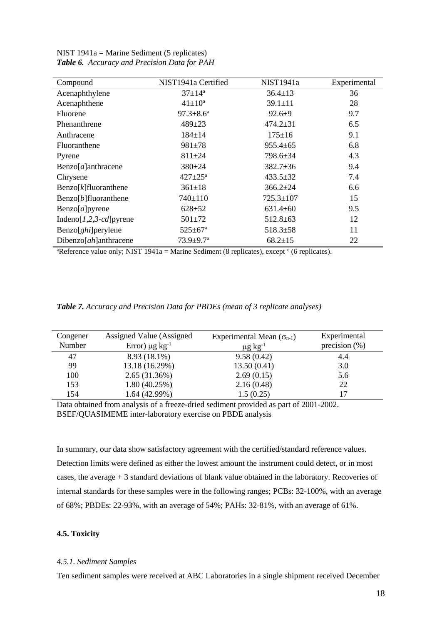| Compound                       | NIST1941a Certified         | NIST1941a       | Experimental |
|--------------------------------|-----------------------------|-----------------|--------------|
| Acenaphthylene                 | $37 \pm 14^{\rm a}$         | $36.4 \pm 13$   | 36           |
| Acenaphthene                   | $41 \pm 10^a$               | $39.1 \pm 11$   | 28           |
| Fluorene                       | $97.3 \pm 8.6^{\mathrm{a}}$ | $92.6 \pm 9$    | 9.7          |
| Phenanthrene                   | $489 \pm 23$                | $474.2 \pm 31$  | 6.5          |
| Anthracene                     | $184 \pm 14$                | $175 \pm 16$    | 9.1          |
| Fluoranthene                   | $981 + 78$                  | $955.4 \pm 65$  | 6.8          |
| Pyrene                         | $811 \pm 24$                | 798.6±34        | 4.3          |
| $Benzo[a]$ anthracene          | $380 \pm 24$                | $382.7 \pm 36$  | 9.4          |
| Chrysene                       | $427 \pm 25^{\text{a}}$     | $433.5 \pm 32$  | 7.4          |
| $\text{Benzo}[k]$ fluoranthene | $361 \pm 18$                | $366.2{\pm}24$  | 6.6          |
| $\text{Benzo}[b]$ fluoranthene | 740±110                     | $725.3 \pm 107$ | 15           |
| Benzo[a]pyrene                 | $628 + 52$                  | $631.4 \pm 60$  | 9.5          |
| Indeno $[1,2,3-cd]$ pyrene     | $501 \pm 72$                | $512.8 \pm 63$  | 12           |
| Benzo[ <i>ghi</i> ]perylene    | $525 \pm 67^{\rm a}$        | $518.3 \pm 58$  | 11           |
| Dibenzo $[ah]$ anthracene      | $73.9 \pm 9.7$ <sup>a</sup> | $68.2 \pm 15$   | 22           |

NIST 1941a = Marine Sediment (5 replicates) *Table 6. Accuracy and Precision Data for PAH*

<sup>a</sup>Reference value only; NIST 1941a = Marine Sediment (8 replicates), except  $\epsilon$  (6 replicates).

| Table 7. Accuracy and Precision Data for PBDEs (mean of 3 replicate analyses) |  |  |  |  |
|-------------------------------------------------------------------------------|--|--|--|--|
|-------------------------------------------------------------------------------|--|--|--|--|

| Congener | Assigned Value (Assigned        | Experimental Mean $(\sigma_{n-1})$ | Experimental     |
|----------|---------------------------------|------------------------------------|------------------|
| Number   | Error) $\mu$ g kg <sup>-1</sup> | $\mu$ g kg <sup>-1</sup>           | precision $(\%)$ |
| 47       | 8.93 (18.1%)                    | 9.58(0.42)                         | 4.4              |
| 99       | 13.18 (16.29%)                  | 13.50(0.41)                        | 3.0              |
| 100      | 2.65(31.36%)                    | 2.69(0.15)                         | 5.6              |
| 153      | 1.80(40.25%)                    | 2.16(0.48)                         | 22               |
| 154      | 1.64(42.99%)                    | 1.5(0.25)                          | 17               |

Data obtained from analysis of a freeze-dried sediment provided as part of 2001-2002. BSEF/QUASIMEME inter-laboratory exercise on PBDE analysis

In summary, our data show satisfactory agreement with the certified/standard reference values. Detection limits were defined as either the lowest amount the instrument could detect, or in most cases, the average + 3 standard deviations of blank value obtained in the laboratory. Recoveries of internal standards for these samples were in the following ranges; PCBs: 32-100%, with an average of 68%; PBDEs: 22-93%, with an average of 54%; PAHs: 32-81%, with an average of 61%.

## **4.5. Toxicity**

#### *4.5.1. Sediment Samples*

Ten sediment samples were received at ABC Laboratories in a single shipment received December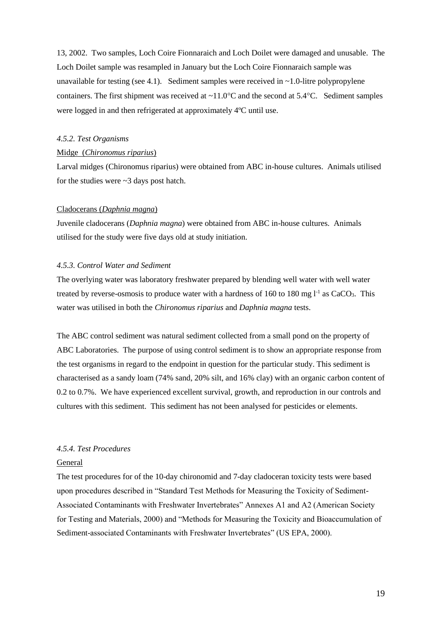13, 2002. Two samples, Loch Coire Fionnaraich and Loch Doilet were damaged and unusable. The Loch Doilet sample was resampled in January but the Loch Coire Fionnaraich sample was unavailable for testing (see 4.1). Sediment samples were received in  $\sim$  1.0-litre polypropylene containers. The first shipment was received at  $\sim 11.0^{\circ}$ C and the second at 5.4 $^{\circ}$ C. Sediment samples were logged in and then refrigerated at approximately 4ºC until use.

### *4.5.2. Test Organisms*

## Midge (*Chironomus riparius*)

Larval midges (Chironomus riparius) were obtained from ABC in-house cultures. Animals utilised for the studies were  $\sim$ 3 days post hatch.

## Cladocerans (*Daphnia magna*)

Juvenile cladocerans (*Daphnia magna*) were obtained from ABC in-house cultures. Animals utilised for the study were five days old at study initiation.

## *4.5.3. Control Water and Sediment*

The overlying water was laboratory freshwater prepared by blending well water with well water treated by reverse-osmosis to produce water with a hardness of  $160$  to  $180$  mg  $l<sup>-1</sup>$  as CaCO<sub>3</sub>. This water was utilised in both the *Chironomus riparius* and *Daphnia magna* tests.

The ABC control sediment was natural sediment collected from a small pond on the property of ABC Laboratories. The purpose of using control sediment is to show an appropriate response from the test organisms in regard to the endpoint in question for the particular study. This sediment is characterised as a sandy loam (74% sand, 20% silt, and 16% clay) with an organic carbon content of 0.2 to 0.7%. We have experienced excellent survival, growth, and reproduction in our controls and cultures with this sediment. This sediment has not been analysed for pesticides or elements.

#### *4.5.4. Test Procedures*

#### General

The test procedures for of the 10-day chironomid and 7-day cladoceran toxicity tests were based upon procedures described in "Standard Test Methods for Measuring the Toxicity of Sediment-Associated Contaminants with Freshwater Invertebrates" Annexes A1 and A2 (American Society for Testing and Materials, 2000) and "Methods for Measuring the Toxicity and Bioaccumulation of Sediment-associated Contaminants with Freshwater Invertebrates" (US EPA, 2000).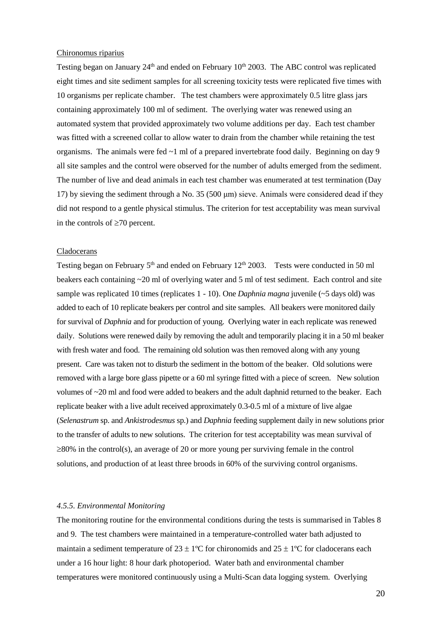## Chironomus riparius

Testing began on January 24<sup>th</sup> and ended on February 10<sup>th</sup> 2003. The ABC control was replicated eight times and site sediment samples for all screening toxicity tests were replicated five times with 10 organisms per replicate chamber. The test chambers were approximately 0.5 litre glass jars containing approximately 100 ml of sediment. The overlying water was renewed using an automated system that provided approximately two volume additions per day. Each test chamber was fitted with a screened collar to allow water to drain from the chamber while retaining the test organisms. The animals were fed  $\sim$ 1 ml of a prepared invertebrate food daily. Beginning on day 9 all site samples and the control were observed for the number of adults emerged from the sediment. The number of live and dead animals in each test chamber was enumerated at test termination (Day 17) by sieving the sediment through a No. 35 (500 μm) sieve. Animals were considered dead if they did not respond to a gentle physical stimulus. The criterion for test acceptability was mean survival in the controls of  $\geq 70$  percent.

#### Cladocerans

Testing began on February 5<sup>th</sup> and ended on February 12<sup>th</sup> 2003. Tests were conducted in 50 ml beakers each containing ~20 ml of overlying water and 5 ml of test sediment. Each control and site sample was replicated 10 times (replicates 1 - 10). One *Daphnia magna* juvenile (~5 days old) was added to each of 10 replicate beakers per control and site samples. All beakers were monitored daily for survival of *Daphnia* and for production of young. Overlying water in each replicate was renewed daily. Solutions were renewed daily by removing the adult and temporarily placing it in a 50 ml beaker with fresh water and food. The remaining old solution was then removed along with any young present. Care was taken not to disturb the sediment in the bottom of the beaker. Old solutions were removed with a large bore glass pipette or a 60 ml syringe fitted with a piece of screen. New solution volumes of ~20 ml and food were added to beakers and the adult daphnid returned to the beaker. Each replicate beaker with a live adult received approximately 0.3-0.5 ml of a mixture of live algae (*Selenastrum* sp. and *Ankistrodesmus* sp.) and *Daphnia* feeding supplement daily in new solutions prior to the transfer of adults to new solutions. The criterion for test acceptability was mean survival of  $\geq$ 80% in the control(s), an average of 20 or more young per surviving female in the control solutions, and production of at least three broods in 60% of the surviving control organisms.

#### *4.5.5. Environmental Monitoring*

The monitoring routine for the environmental conditions during the tests is summarised in Tables 8 and 9. The test chambers were maintained in a temperature-controlled water bath adjusted to maintain a sediment temperature of  $23 \pm 1$ °C for chironomids and  $25 \pm 1$ °C for cladocerans each under a 16 hour light: 8 hour dark photoperiod. Water bath and environmental chamber temperatures were monitored continuously using a Multi-Scan data logging system. Overlying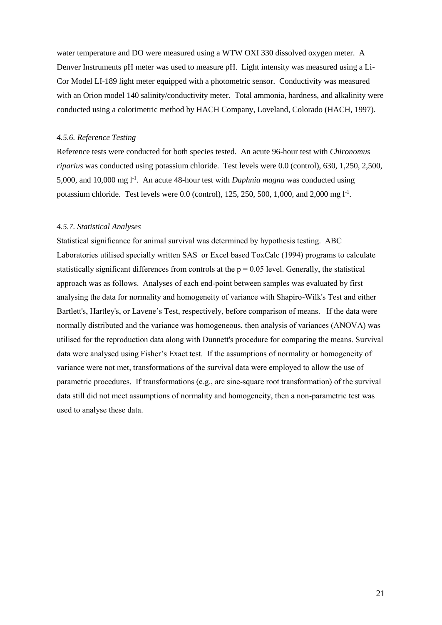water temperature and DO were measured using a WTW OXI 330 dissolved oxygen meter. A Denver Instruments pH meter was used to measure pH. Light intensity was measured using a Li-Cor Model LI-189 light meter equipped with a photometric sensor. Conductivity was measured with an Orion model 140 salinity/conductivity meter. Total ammonia, hardness, and alkalinity were conducted using a colorimetric method by HACH Company, Loveland, Colorado (HACH, 1997).

#### *4.5.6. Reference Testing*

Reference tests were conducted for both species tested. An acute 96-hour test with *Chironomus riparius* was conducted using potassium chloride. Test levels were 0.0 (control), 630, 1,250, 2,500, 5,000, and 10,000 mg l<sup>-1</sup>. An acute 48-hour test with *Daphnia magna* was conducted using potassium chloride. Test levels were  $0.0$  (control), 125, 250, 500, 1,000, and 2,000 mg  $1<sup>-1</sup>$ .

#### *4.5.7. Statistical Analyses*

Statistical significance for animal survival was determined by hypothesis testing. ABC Laboratories utilised specially written SAS or Excel based ToxCalc (1994) programs to calculate statistically significant differences from controls at the  $p = 0.05$  level. Generally, the statistical approach was as follows. Analyses of each end-point between samples was evaluated by first analysing the data for normality and homogeneity of variance with Shapiro-Wilk's Test and either Bartlett's, Hartley's, or Lavene's Test, respectively, before comparison of means. If the data were normally distributed and the variance was homogeneous, then analysis of variances (ANOVA) was utilised for the reproduction data along with Dunnett's procedure for comparing the means. Survival data were analysed using Fisher's Exact test. If the assumptions of normality or homogeneity of variance were not met, transformations of the survival data were employed to allow the use of parametric procedures. If transformations (e.g., arc sine-square root transformation) of the survival data still did not meet assumptions of normality and homogeneity, then a non-parametric test was used to analyse these data.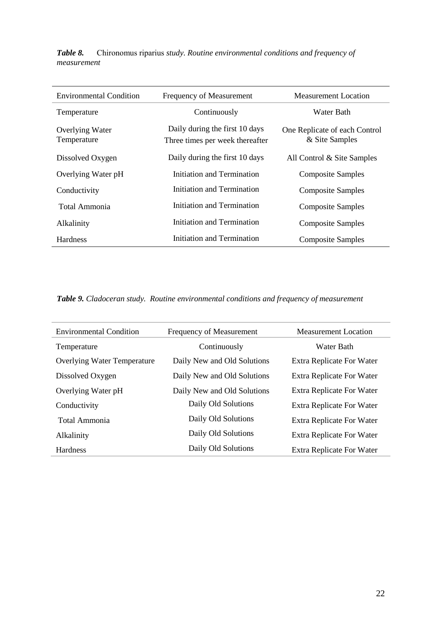| <b>Environmental Condition</b> | Frequency of Measurement                                          | Measurement Location                            |
|--------------------------------|-------------------------------------------------------------------|-------------------------------------------------|
| Temperature                    | Continuously                                                      | Water Bath                                      |
| Overlying Water<br>Temperature | Daily during the first 10 days<br>Three times per week thereafter | One Replicate of each Control<br>& Site Samples |
| Dissolved Oxygen               | Daily during the first 10 days                                    | All Control $&$ Site Samples                    |
| Overlying Water pH             | Initiation and Termination                                        | <b>Composite Samples</b>                        |
| Conductivity                   | Initiation and Termination                                        | <b>Composite Samples</b>                        |
| Total Ammonia                  | Initiation and Termination                                        | <b>Composite Samples</b>                        |
| Alkalinity                     | Initiation and Termination                                        | <b>Composite Samples</b>                        |
| <b>Hardness</b>                | Initiation and Termination                                        | <b>Composite Samples</b>                        |

*Table 8.* Chironomus riparius *study. Routine environmental conditions and frequency of measurement*

*Table 9. Cladoceran study. Routine environmental conditions and frequency of measurement*

| <b>Environmental Condition</b>     | Frequency of Measurement    | Measurement Location             |
|------------------------------------|-----------------------------|----------------------------------|
| Temperature                        | Continuously                | Water Bath                       |
| <b>Overlying Water Temperature</b> | Daily New and Old Solutions | <b>Extra Replicate For Water</b> |
| Dissolved Oxygen                   | Daily New and Old Solutions | Extra Replicate For Water        |
| Overlying Water pH                 | Daily New and Old Solutions | Extra Replicate For Water        |
| Conductivity                       | Daily Old Solutions         | Extra Replicate For Water        |
| Total Ammonia                      | Daily Old Solutions         | <b>Extra Replicate For Water</b> |
| Alkalinity                         | Daily Old Solutions         | Extra Replicate For Water        |
| <b>Hardness</b>                    | Daily Old Solutions         | <b>Extra Replicate For Water</b> |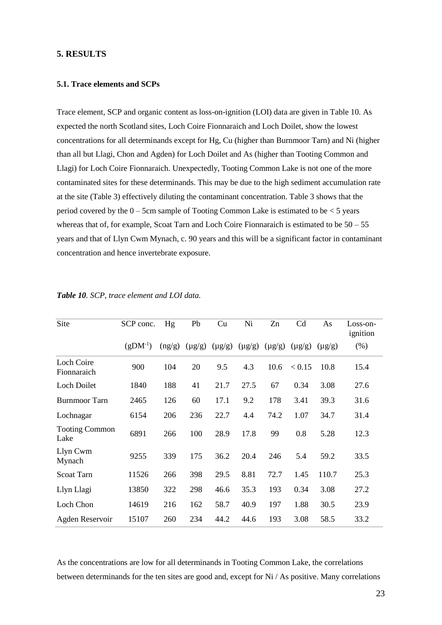## **5. RESULTS**

## **5.1. Trace elements and SCPs**

Trace element, SCP and organic content as loss-on-ignition (LOI) data are given in Table 10. As expected the north Scotland sites, Loch Coire Fionnaraich and Loch Doilet, show the lowest concentrations for all determinands except for Hg, Cu (higher than Burnmoor Tarn) and Ni (higher than all but Llagi, Chon and Agden) for Loch Doilet and As (higher than Tooting Common and Llagi) for Loch Coire Fionnaraich. Unexpectedly, Tooting Common Lake is not one of the more contaminated sites for these determinands. This may be due to the high sediment accumulation rate at the site (Table 3) effectively diluting the contaminant concentration. Table 3 shows that the period covered by the  $0 - 5$ cm sample of Tooting Common Lake is estimated to be  $\lt 5$  years whereas that of, for example, Scoat Tarn and Loch Coire Fionnaraich is estimated to be  $50 - 55$ years and that of Llyn Cwm Mynach, c. 90 years and this will be a significant factor in contaminant concentration and hence invertebrate exposure.

| Site                          | SCP conc.    | Hg     | Pb          | Cu          | Ni          | Zn          | Cd          | As          | Loss-on-<br>ignition |
|-------------------------------|--------------|--------|-------------|-------------|-------------|-------------|-------------|-------------|----------------------|
|                               | $(gDM^{-1})$ | (ng/g) | $(\mu g/g)$ | $(\mu g/g)$ | $(\mu g/g)$ | $(\mu g/g)$ | $(\mu g/g)$ | $(\mu g/g)$ | (% )                 |
| Loch Coire<br>Fionnaraich     | 900          | 104    | 20          | 9.5         | 4.3         | 10.6        | < 0.15      | 10.8        | 15.4                 |
| <b>Loch Doilet</b>            | 1840         | 188    | 41          | 21.7        | 27.5        | 67          | 0.34        | 3.08        | 27.6                 |
| Burnmoor Tarn                 | 2465         | 126    | 60          | 17.1        | 9.2         | 178         | 3.41        | 39.3        | 31.6                 |
| Lochnagar                     | 6154         | 206    | 236         | 22.7        | 4.4         | 74.2        | 1.07        | 34.7        | 31.4                 |
| <b>Tooting Common</b><br>Lake | 6891         | 266    | 100         | 28.9        | 17.8        | 99          | 0.8         | 5.28        | 12.3                 |
| Llyn Cwm<br>Mynach            | 9255         | 339    | 175         | 36.2        | 20.4        | 246         | 5.4         | 59.2        | 33.5                 |
| <b>Scoat Tarn</b>             | 11526        | 266    | 398         | 29.5        | 8.81        | 72.7        | 1.45        | 110.7       | 25.3                 |
| Llyn Llagi                    | 13850        | 322    | 298         | 46.6        | 35.3        | 193         | 0.34        | 3.08        | 27.2                 |
| Loch Chon                     | 14619        | 216    | 162         | 58.7        | 40.9        | 197         | 1.88        | 30.5        | 23.9                 |
| Agden Reservoir               | 15107        | 260    | 234         | 44.2        | 44.6        | 193         | 3.08        | 58.5        | 33.2                 |

*Table 10. SCP, trace element and LOI data.*

As the concentrations are low for all determinands in Tooting Common Lake, the correlations between determinands for the ten sites are good and, except for Ni / As positive. Many correlations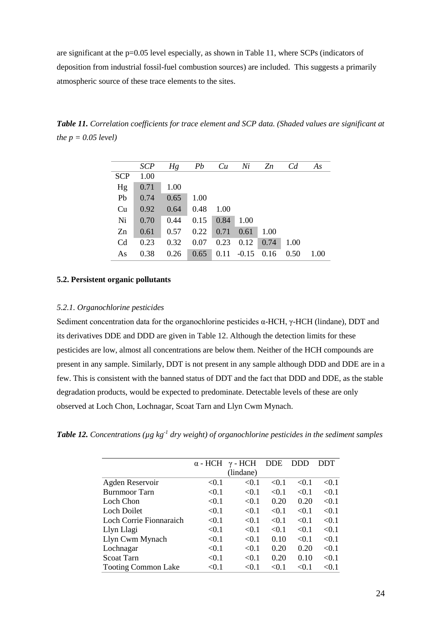are significant at the p=0.05 level especially, as shown in Table 11, where SCPs (indicators of deposition from industrial fossil-fuel combustion sources) are included. This suggests a primarily atmospheric source of these trace elements to the sites.

*Table 11. Correlation coefficients for trace element and SCP data. (Shaded values are significant at the p = 0.05 level)*

|                | <b>SCP</b> | Hg   | Pb   | Cu   | Ni      | Zn   | C <sub>d</sub> | As   |
|----------------|------------|------|------|------|---------|------|----------------|------|
|                |            |      |      |      |         |      |                |      |
| <b>SCP</b>     | 1.00       |      |      |      |         |      |                |      |
| Hg             | 0.71       | 1.00 |      |      |         |      |                |      |
| Pb             | 0.74       | 0.65 | 1.00 |      |         |      |                |      |
| Cu             | 0.92       | 0.64 | 0.48 | 1.00 |         |      |                |      |
| Ni             | 0.70       | 0.44 | 0.15 | 0.84 | 1.00    |      |                |      |
| Zn             | 0.61       | 0.57 | 0.22 | 0.71 | 0.61    | 1.00 |                |      |
| C <sub>d</sub> | 0.23       | 0.32 | 0.07 | 0.23 | 0.12    | 0.74 | 1.00           |      |
| As             | 0.38       | 0.26 | 0.65 | 0.11 | $-0.15$ | 0.16 | 0.50           | 1.00 |

## **5.2. Persistent organic pollutants**

#### *5.2.1. Organochlorine pesticides*

Sediment concentration data for the organochlorine pesticides  $\alpha$ -HCH,  $\gamma$ -HCH (lindane), DDT and its derivatives DDE and DDD are given in Table 12. Although the detection limits for these pesticides are low, almost all concentrations are below them. Neither of the HCH compounds are present in any sample. Similarly, DDT is not present in any sample although DDD and DDE are in a few. This is consistent with the banned status of DDT and the fact that DDD and DDE, as the stable degradation products, would be expected to predominate. Detectable levels of these are only observed at Loch Chon, Lochnagar, Scoat Tarn and Llyn Cwm Mynach.

*Table 12. Concentrations (µg kg-1 dry weight) of organochlorine pesticides in the sediment samples*

|                            | $\alpha$ - HCH | $\gamma$ - HCH | <b>DDE</b> | <b>DDD</b> | <b>DDT</b> |
|----------------------------|----------------|----------------|------------|------------|------------|
|                            |                | (lindane)      |            |            |            |
| Agden Reservoir            | < 0.1          | < 0.1          | < 0.1      | < 0.1      | < 0.1      |
| Burnmoor Tarn              | < 0.1          | < 0.1          | < 0.1      | < 0.1      | < 0.1      |
| Loch Chon                  | < 0.1          | < 0.1          | 0.20       | 0.20       | < 0.1      |
| Loch Doilet                | < 0.1          | < 0.1          | < 0.1      | < 0.1      | < 0.1      |
| Loch Corrie Fionnaraich    | < 0.1          | < 0.1          | < 0.1      | < 0.1      | < 0.1      |
| Llyn Llagi                 | < 0.1          | < 0.1          | < 0.1      | < 0.1      | < 0.1      |
| Llyn Cwm Mynach            | < 0.1          | < 0.1          | 0.10       | < 0.1      | < 0.1      |
| Lochnagar                  | < 0.1          | < 0.1          | 0.20       | 0.20       | < 0.1      |
| <b>Scoat Tarn</b>          | < 0.1          | < 0.1          | 0.20       | 0.10       | < 0.1      |
| <b>Tooting Common Lake</b> | $<$ 0.1        | < 0.1          | < 0.1      | < 0.1      | < 0.1      |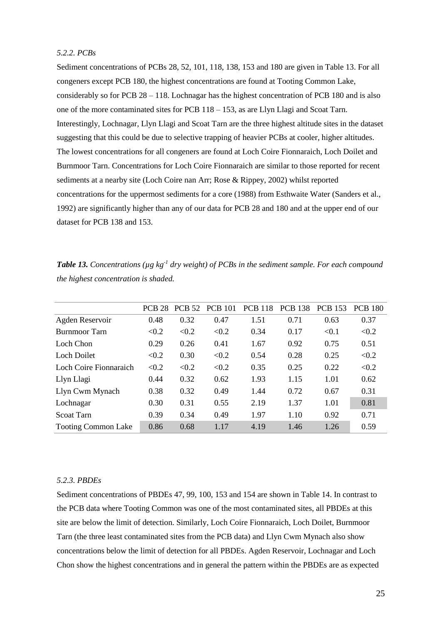## *5.2.2. PCBs*

Sediment concentrations of PCBs 28, 52, 101, 118, 138, 153 and 180 are given in Table 13. For all congeners except PCB 180, the highest concentrations are found at Tooting Common Lake, considerably so for PCB 28 – 118. Lochnagar has the highest concentration of PCB 180 and is also one of the more contaminated sites for PCB 118 – 153, as are Llyn Llagi and Scoat Tarn. Interestingly, Lochnagar, Llyn Llagi and Scoat Tarn are the three highest altitude sites in the dataset suggesting that this could be due to selective trapping of heavier PCBs at cooler, higher altitudes. The lowest concentrations for all congeners are found at Loch Coire Fionnaraich, Loch Doilet and Burnmoor Tarn. Concentrations for Loch Coire Fionnaraich are similar to those reported for recent sediments at a nearby site (Loch Coire nan Arr; Rose & Rippey, 2002) whilst reported concentrations for the uppermost sediments for a core (1988) from Esthwaite Water (Sanders et al., 1992) are significantly higher than any of our data for PCB 28 and 180 and at the upper end of our dataset for PCB 138 and 153.

|                            | <b>PCB 28</b> | <b>PCB 52</b> | <b>PCB</b> 101 | <b>PCB</b> 118 | <b>PCB 138</b> | <b>PCB</b> 153 | <b>PCB 180</b> |
|----------------------------|---------------|---------------|----------------|----------------|----------------|----------------|----------------|
| Agden Reservoir            | 0.48          | 0.32          | 0.47           | 1.51           | 0.71           | 0.63           | 0.37           |
| Burnmoor Tarn              | < 0.2         | < 0.2         | < 0.2          | 0.34           | 0.17           | < 0.1          | < 0.2          |
| Loch Chon                  | 0.29          | 0.26          | 0.41           | 1.67           | 0.92           | 0.75           | 0.51           |
| Loch Doilet                | < 0.2         | 0.30          | < 0.2          | 0.54           | 0.28           | 0.25           | < 0.2          |
| Loch Coire Fionnaraich     | < 0.2         | < 0.2         | < 0.2          | 0.35           | 0.25           | 0.22           | < 0.2          |
| Llyn Llagi                 | 0.44          | 0.32          | 0.62           | 1.93           | 1.15           | 1.01           | 0.62           |
| Llyn Cwm Mynach            | 0.38          | 0.32          | 0.49           | 1.44           | 0.72           | 0.67           | 0.31           |
| Lochnagar                  | 0.30          | 0.31          | 0.55           | 2.19           | 1.37           | 1.01           | 0.81           |
| <b>Scoat Tarn</b>          | 0.39          | 0.34          | 0.49           | 1.97           | 1.10           | 0.92           | 0.71           |
| <b>Tooting Common Lake</b> | 0.86          | 0.68          | 1.17           | 4.19           | 1.46           | 1.26           | 0.59           |

*Table 13. Concentrations (µg kg-1 dry weight) of PCBs in the sediment sample. For each compound the highest concentration is shaded.*

#### *5.2.3. PBDEs*

Sediment concentrations of PBDEs 47, 99, 100, 153 and 154 are shown in Table 14. In contrast to the PCB data where Tooting Common was one of the most contaminated sites, all PBDEs at this site are below the limit of detection. Similarly, Loch Coire Fionnaraich, Loch Doilet, Burnmoor Tarn (the three least contaminated sites from the PCB data) and Llyn Cwm Mynach also show concentrations below the limit of detection for all PBDEs. Agden Reservoir, Lochnagar and Loch Chon show the highest concentrations and in general the pattern within the PBDEs are as expected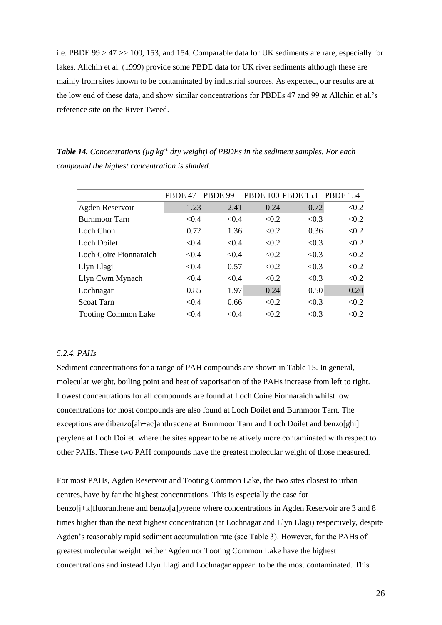i.e. PBDE 99 > 47 >> 100, 153, and 154. Comparable data for UK sediments are rare, especially for lakes. Allchin et al. (1999) provide some PBDE data for UK river sediments although these are mainly from sites known to be contaminated by industrial sources. As expected, our results are at the low end of these data, and show similar concentrations for PBDEs 47 and 99 at Allchin et al.'s reference site on the River Tweed.

*Table 14. Concentrations (µg kg-1 dry weight) of PBDEs in the sediment samples. For each compound the highest concentration is shaded.*

|                            | PBDE 47 | PBDE 99 |       | <b>PBDE 100 PBDE 153</b> | <b>PBDE 154</b> |
|----------------------------|---------|---------|-------|--------------------------|-----------------|
| Agden Reservoir            | 1.23    | 2.41    | 0.24  | 0.72                     | < 0.2           |
| Burnmoor Tarn              | < 0.4   | < 0.4   | < 0.2 | < 0.3                    | < 0.2           |
| Loch Chon                  | 0.72    | 1.36    | < 0.2 | 0.36                     | < 0.2           |
| Loch Doilet                | < 0.4   | < 0.4   | < 0.2 | < 0.3                    | < 0.2           |
| Loch Coire Fionnaraich     | < 0.4   | < 0.4   | < 0.2 | < 0.3                    | < 0.2           |
| Llyn Llagi                 | < 0.4   | 0.57    | < 0.2 | < 0.3                    | < 0.2           |
| Llyn Cwm Mynach            | < 0.4   | < 0.4   | < 0.2 | < 0.3                    | < 0.2           |
| Lochnagar                  | 0.85    | 1.97    | 0.24  | 0.50                     | 0.20            |
| <b>Scoat Tarn</b>          | < 0.4   | 0.66    | < 0.2 | < 0.3                    | < 0.2           |
| <b>Tooting Common Lake</b> | < 0.4   | < 0.4   | < 0.2 | < 0.3                    | < 0.2           |

## *5.2.4. PAHs*

Sediment concentrations for a range of PAH compounds are shown in Table 15. In general, molecular weight, boiling point and heat of vaporisation of the PAHs increase from left to right. Lowest concentrations for all compounds are found at Loch Coire Fionnaraich whilst low concentrations for most compounds are also found at Loch Doilet and Burnmoor Tarn. The exceptions are dibenzo[ah+ac]anthracene at Burnmoor Tarn and Loch Doilet and benzo[ghi] perylene at Loch Doilet where the sites appear to be relatively more contaminated with respect to other PAHs. These two PAH compounds have the greatest molecular weight of those measured.

For most PAHs, Agden Reservoir and Tooting Common Lake, the two sites closest to urban centres, have by far the highest concentrations. This is especially the case for benzo[j+k]fluoranthene and benzo[a]pyrene where concentrations in Agden Reservoir are 3 and 8 times higher than the next highest concentration (at Lochnagar and Llyn Llagi) respectively, despite Agden's reasonably rapid sediment accumulation rate (see Table 3). However, for the PAHs of greatest molecular weight neither Agden nor Tooting Common Lake have the highest concentrations and instead Llyn Llagi and Lochnagar appear to be the most contaminated. This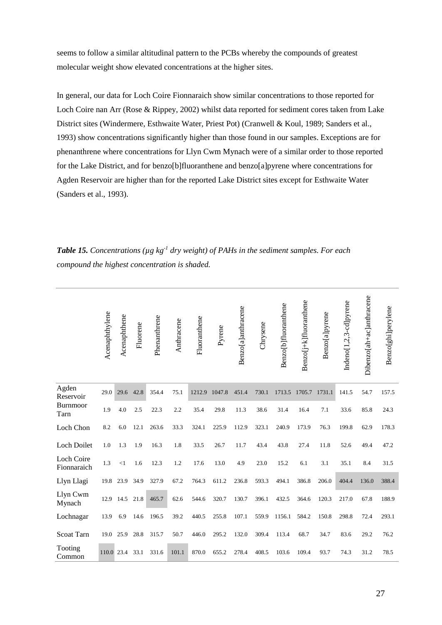seems to follow a similar altitudinal pattern to the PCBs whereby the compounds of greatest molecular weight show elevated concentrations at the higher sites.

In general, our data for Loch Coire Fionnaraich show similar concentrations to those reported for Loch Coire nan Arr (Rose & Rippey, 2002) whilst data reported for sediment cores taken from Lake District sites (Windermere, Esthwaite Water, Priest Pot) (Cranwell & Koul, 1989; Sanders et al., 1993) show concentrations significantly higher than those found in our samples. Exceptions are for phenanthrene where concentrations for Llyn Cwm Mynach were of a similar order to those reported for the Lake District, and for benzo[b]fluoranthene and benzo[a]pyrene where concentrations for Agden Reservoir are higher than for the reported Lake District sites except for Esthwaite Water (Sanders et al., 1993).

**Table 15.** Concentrations (µg kg<sup>-1</sup> dry weight) of PAHs in the sediment samples. For each *compound the highest concentration is shaded.* 

|                                  | Acenaphthylene | Acenaphthene | Fluorene | Phenanthrene | Anthracene | Fluoranthene | Pyrene | Benzo[a]anthracene | Chrysene | Benzo[b]fluoranthene | Benzo[j+k]fluoranthene | Benzo[a]pyrene | Indeno[1,2,3-cd]pyrene | Dibenzo[ah+ac]anthracene | Benzo[ghi]perylene |
|----------------------------------|----------------|--------------|----------|--------------|------------|--------------|--------|--------------------|----------|----------------------|------------------------|----------------|------------------------|--------------------------|--------------------|
| Agden<br>Reservoir               | 29.0           | 29.6         | 42.8     | 354.4        | 75.1       | 1212.9       | 1047.8 | 451.4              | 730.1    | 1713.5               | 1705.7                 | 1731.1         | 141.5                  | 54.7                     | 157.5              |
| Burnmoor<br>Tarn                 | 1.9            | 4.0          | 2.5      | 22.3         | 2.2        | 35.4         | 29.8   | 11.3               | 38.6     | 31.4                 | 16.4                   | 7.1            | 33.6                   | 85.8                     | 24.3               |
| Loch Chon                        | 8.2            | 6.0          | 12.1     | 263.6        | 33.3       | 324.1        | 225.9  | 112.9              | 323.1    | 240.9                | 173.9                  | 76.3           | 199.8                  | 62.9                     | 178.3              |
| <b>Loch Doilet</b>               | 1.0            | 1.3          | 1.9      | 16.3         | 1.8        | 33.5         | 26.7   | 11.7               | 43.4     | 43.8                 | 27.4                   | 11.8           | 52.6                   | 49.4                     | 47.2               |
| <b>Loch Coire</b><br>Fionnaraich | 1.3            | <1           | 1.6      | 12.3         | 1.2        | 17.6         | 13.0   | 4.9                | 23.0     | 15.2                 | 6.1                    | 3.1            | 35.1                   | 8.4                      | 31.5               |
| Llyn Llagi                       | 19.8           | 23.9         | 34.9     | 327.9        | 67.2       | 764.3        | 611.2  | 236.8              | 593.3    | 494.1                | 386.8                  | 206.0          | 404.4                  | 136.0                    | 388.4              |
| Llyn Cwm<br>Mynach               | 12.9           | 14.5         | 21.8     | 465.7        | 62.6       | 544.6        | 320.7  | 130.7              | 396.1    | 432.5                | 364.6                  | 120.3          | 217.0                  | 67.8                     | 188.9              |
| Lochnagar                        | 13.9           | 6.9          | 14.6     | 196.5        | 39.2       | 440.5        | 255.8  | 107.1              | 559.9    | 1156.1               | 584.2                  | 150.8          | 298.8                  | 72.4                     | 293.1              |
| <b>Scoat Tarn</b>                | 19.0           | 25.9         | 28.8     | 315.7        | 50.7       | 446.0        | 295.2  | 132.0              | 309.4    | 113.4                | 68.7                   | 34.7           | 83.6                   | 29.2                     | 76.2               |
| Tooting<br>Common                | 110.0          | 23.4         | 33.1     | 331.6        | 101.1      | 870.0        | 655.2  | 278.4              | 408.5    | 103.6                | 109.4                  | 93.7           | 74.3                   | 31.2                     | 78.5               |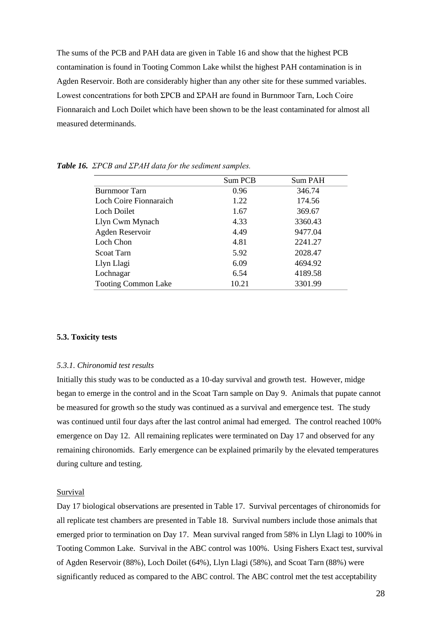The sums of the PCB and PAH data are given in Table 16 and show that the highest PCB contamination is found in Tooting Common Lake whilst the highest PAH contamination is in Agden Reservoir. Both are considerably higher than any other site for these summed variables. Lowest concentrations for both ΣPCB and ΣPAH are found in Burnmoor Tarn, Loch Coire Fionnaraich and Loch Doilet which have been shown to be the least contaminated for almost all measured determinands.

|                            | Sum PCB | Sum PAH |
|----------------------------|---------|---------|
| <b>Burnmoor Tarn</b>       | 0.96    | 346.74  |
| Loch Coire Fionnaraich     | 1.22    | 174.56  |
| <b>Loch Doilet</b>         | 1.67    | 369.67  |
| Llyn Cwm Mynach            | 4.33    | 3360.43 |
| Agden Reservoir            | 4.49    | 9477.04 |
| Loch Chon                  | 4.81    | 2241.27 |
| Scoat Tarn                 | 5.92    | 2028.47 |
| Llyn Llagi                 | 6.09    | 4694.92 |
| Lochnagar                  | 6.54    | 4189.58 |
| <b>Tooting Common Lake</b> | 10.21   | 3301.99 |

*Table 16. ΣPCB and ΣPAH data for the sediment samples.*

#### **5.3. Toxicity tests**

#### *5.3.1. Chironomid test results*

Initially this study was to be conducted as a 10-day survival and growth test. However, midge began to emerge in the control and in the Scoat Tarn sample on Day 9. Animals that pupate cannot be measured for growth so the study was continued as a survival and emergence test. The study was continued until four days after the last control animal had emerged. The control reached 100% emergence on Day 12. All remaining replicates were terminated on Day 17 and observed for any remaining chironomids. Early emergence can be explained primarily by the elevated temperatures during culture and testing.

## Survival

Day 17 biological observations are presented in Table 17. Survival percentages of chironomids for all replicate test chambers are presented in Table 18. Survival numbers include those animals that emerged prior to termination on Day 17. Mean survival ranged from 58% in Llyn Llagi to 100% in Tooting Common Lake. Survival in the ABC control was 100%. Using Fishers Exact test, survival of Agden Reservoir (88%), Loch Doilet (64%), Llyn Llagi (58%), and Scoat Tarn (88%) were significantly reduced as compared to the ABC control. The ABC control met the test acceptability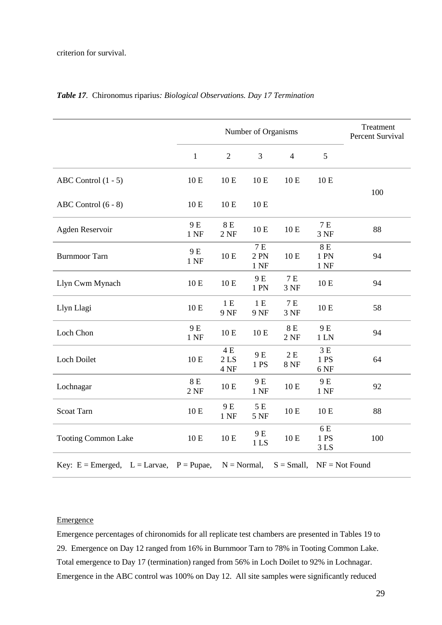|                                   |               | Number of Organisms             |                        |                                |                                |                  |  |  |  |
|-----------------------------------|---------------|---------------------------------|------------------------|--------------------------------|--------------------------------|------------------|--|--|--|
|                                   | $\mathbf{1}$  | $\mathfrak{2}$                  | 3                      | $\overline{4}$                 | 5                              |                  |  |  |  |
| ABC Control $(1 - 5)$             | 10 E          | $10E$                           | 10 E                   | 10 E                           | 10 E                           | 100              |  |  |  |
| ABC Control (6 - 8)               | 10 E          | 10 E                            | 10E                    |                                |                                |                  |  |  |  |
| Agden Reservoir                   | 9 E<br>1 NF   | $8E$<br>2NF                     | 10 E                   | 10 E                           | $7E$<br>3 NF                   | 88               |  |  |  |
| <b>Burnmoor Tarn</b>              | 9 E<br>$1$ NF | 10 E                            | $7E$<br>2 PN<br>$1$ NF | 10 E                           | 8 E<br>1 PN<br>$1$ NF          | 94               |  |  |  |
| Llyn Cwm Mynach                   | 10 E          | 10 E                            | 9 E<br>1 PN            | $7E$<br>3 NF                   | 10 E                           | 94               |  |  |  |
| Llyn Llagi                        | 10 E          | 1E<br>9 NF                      | 1E<br>9 NF             | 7 E<br>3 NF                    | 10 E                           | 58               |  |  |  |
| Loch Chon                         | 9 E<br>1 NF   | 10 E                            | 10E                    | $8E$<br>2NF                    | 9 E<br>$1$ LN                  | 94               |  |  |  |
| Loch Doilet                       | 10 E          | $4E$<br>2 <sub>LS</sub><br>4 NF | 9E<br>1 PS             | $2\,\mathrm{E}$<br><b>8 NF</b> | 3E<br>1PS<br>6 NF              | 64               |  |  |  |
| Lochnagar                         | 8 E<br>2NF    | 10 E                            | 9 E<br>$1$ NF          | 10 E                           | 9 E<br>$1$ NF                  | 92               |  |  |  |
| <b>Scoat Tarn</b>                 | 10 E          | 9 E<br>1 NF                     | 5 E<br><b>5 NF</b>     | 10 E                           | 10 E                           | 88               |  |  |  |
| <b>Tooting Common Lake</b>        | 10 E          | 10 E                            | 9 E<br>1 <sub>LS</sub> | 10 E                           | 6 E<br>1 PS<br>3 <sub>LS</sub> | 100              |  |  |  |
| Key: $E =$ Emerged, $L =$ Larvae, | $P = P$ upae, | $N = Normal$ ,                  |                        | $S = Small,$                   |                                | $NF = Not$ Found |  |  |  |

## *Table 17.* Chironomus riparius*: Biological Observations. Day 17 Termination*

## **Emergence**

Emergence percentages of chironomids for all replicate test chambers are presented in Tables 19 to 29. Emergence on Day 12 ranged from 16% in Burnmoor Tarn to 78% in Tooting Common Lake. Total emergence to Day 17 (termination) ranged from 56% in Loch Doilet to 92% in Lochnagar. Emergence in the ABC control was 100% on Day 12. All site samples were significantly reduced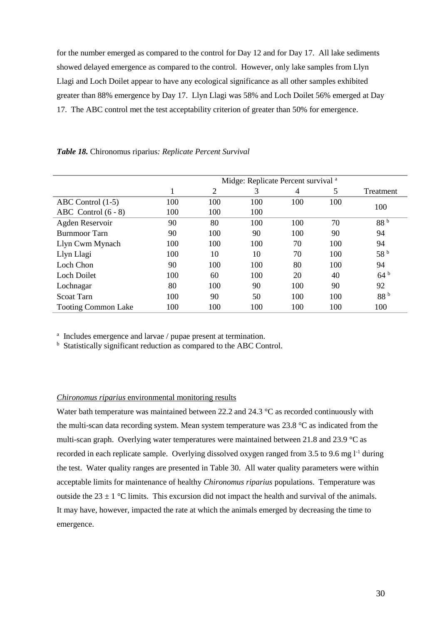for the number emerged as compared to the control for Day 12 and for Day 17. All lake sediments showed delayed emergence as compared to the control. However, only lake samples from Llyn Llagi and Loch Doilet appear to have any ecological significance as all other samples exhibited greater than 88% emergence by Day 17. Llyn Llagi was 58% and Loch Doilet 56% emerged at Day 17. The ABC control met the test acceptability criterion of greater than 50% for emergence.

|                            | Midge: Replicate Percent survival <sup>a</sup> |     |     |     |     |                 |  |  |  |  |  |
|----------------------------|------------------------------------------------|-----|-----|-----|-----|-----------------|--|--|--|--|--|
|                            | 1                                              | 2   | 3   | 4   | 5   | Treatment       |  |  |  |  |  |
| ABC Control $(1-5)$        | 100                                            | 100 | 100 | 100 | 100 | 100             |  |  |  |  |  |
| ABC Control $(6 - 8)$      | 100                                            | 100 | 100 |     |     |                 |  |  |  |  |  |
| Agden Reservoir            | 90                                             | 80  | 100 | 100 | 70  | 88 <sup>b</sup> |  |  |  |  |  |
| <b>Burnmoor Tarn</b>       | 90                                             | 100 | 90  | 100 | 90  | 94              |  |  |  |  |  |
| Llyn Cwm Mynach            | 100                                            | 100 | 100 | 70  | 100 | 94              |  |  |  |  |  |
| Llyn Llagi                 | 100                                            | 10  | 10  | 70  | 100 | 58 <sup>b</sup> |  |  |  |  |  |
| Loch Chon                  | 90                                             | 100 | 100 | 80  | 100 | 94              |  |  |  |  |  |
| <b>Loch Doilet</b>         | 100                                            | 60  | 100 | 20  | 40  | 64 <sup>b</sup> |  |  |  |  |  |
| Lochnagar                  | 80                                             | 100 | 90  | 100 | 90  | 92              |  |  |  |  |  |
| Scoat Tarn                 | 100                                            | 90  | 50  | 100 | 100 | 88 <sup>b</sup> |  |  |  |  |  |
| <b>Tooting Common Lake</b> | 100                                            | 100 | 100 | 100 | 100 | 100             |  |  |  |  |  |

#### *Table 18.* Chironomus riparius*: Replicate Percent Survival*

<sup>a</sup> Includes emergence and larvae / pupae present at termination.

 $<sup>b</sup>$  Statistically significant reduction as compared to the ABC Control.</sup>

### *Chironomus riparius* environmental monitoring results

Water bath temperature was maintained between 22.2 and 24.3 °C as recorded continuously with the multi-scan data recording system. Mean system temperature was 23.8 °C as indicated from the multi-scan graph. Overlying water temperatures were maintained between 21.8 and 23.9 °C as recorded in each replicate sample. Overlying dissolved oxygen ranged from 3.5 to 9.6 mg  $1<sup>-1</sup>$  during the test. Water quality ranges are presented in Table 30. All water quality parameters were within acceptable limits for maintenance of healthy *Chironomus riparius* populations. Temperature was outside the 23  $\pm$  1 °C limits. This excursion did not impact the health and survival of the animals. It may have, however, impacted the rate at which the animals emerged by decreasing the time to emergence.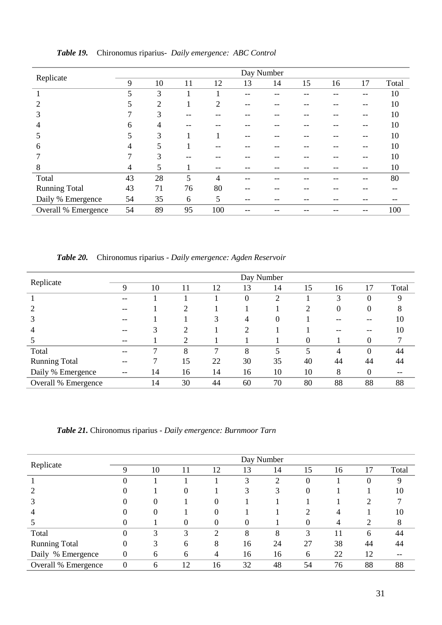|                             |    |                |    |                |    | Day Number |    |    |    |       |
|-----------------------------|----|----------------|----|----------------|----|------------|----|----|----|-------|
| Replicate                   | 9  | 10             | 11 | 12             | 13 | 14         | 15 | 16 | 17 | Total |
|                             | 5  | 3              |    |                |    |            |    |    |    | 10    |
| $\mathcal{D}_{\mathcal{A}}$ | 5  | $\overline{2}$ |    | $\overline{2}$ | -- |            |    |    | -- | 10    |
| 3                           |    | 3              |    |                |    |            |    |    | -- | 10    |
| 4                           | 6  | 4              |    |                |    |            |    |    |    | 10    |
| 5                           | 5  | 3              |    |                |    |            |    |    |    | 10    |
| 6                           | 4  | 5              |    |                |    |            |    |    |    | 10    |
|                             | ⇁  | 3              |    |                |    |            |    |    | -- | 10    |
| 8                           | 4  | 5              |    | --             |    | --         |    |    | -- | 10    |
| Total                       | 43 | 28             | 5  | $\overline{4}$ |    |            |    |    |    | 80    |
| <b>Running Total</b>        | 43 | 71             | 76 | 80             |    |            |    |    |    |       |
| Daily % Emergence           | 54 | 35             | 6  | 5              | -- | --         | -- |    |    |       |
| Overall % Emergence         | 54 | 89             | 95 | 100            |    |            |    |    |    | 100   |

*Table 19.* Chironomus riparius*- Daily emergence: ABC Control*

*Table 20.* Chironomus riparius *- Daily emergence: Agden Reservoir*

|                      |    |    |    |    |                | Day Number     |          |    |          |       |
|----------------------|----|----|----|----|----------------|----------------|----------|----|----------|-------|
| Replicate            | 9  | 10 | 11 | 12 | 13             | 14             | 15       | 16 | 17       | Total |
|                      |    |    |    |    | $\theta$       | $\overline{2}$ |          | 3  | 0        | 9     |
|                      | -- |    | 2  |    |                |                | 2        | 0  | 0        | 8     |
|                      |    |    |    | 3  | 4              | $\Omega$       |          |    | --       | 10    |
|                      |    |    | ↑  |    | $\overline{2}$ |                |          |    |          | 10    |
|                      | -- |    | 2  |    |                |                | $\theta$ |    | 0        |       |
| Total                |    | ⇁  | 8  | 7  | 8              | 5              | 5        | 4  | $\theta$ | 44    |
| <b>Running Total</b> |    |    | 15 | 22 | 30             | 35             | 40       | 44 | 44       | 44    |
| Daily % Emergence    | -- | 14 | 16 | 14 | 16             | 10             | 10       | 8  | 0        | --    |
| Overall % Emergence  |    | 14 | 30 | 44 | 60             | 70             | 80       | 88 | 88       | 88    |

*Table 21.* Chironomus riparius *- Daily emergence: Burnmoor Tarn*

|                      |          |          |          |                |    | Day Number |          |    |               |       |
|----------------------|----------|----------|----------|----------------|----|------------|----------|----|---------------|-------|
| Replicate            | 9        | 10       | 11       | 12             | 13 | 14         | 15       | 16 | 17            | Total |
|                      | ''       |          |          |                | 3  | 2          | $\theta$ |    | O             | 9     |
|                      |          |          | 0        |                | 3  | 3          | $\theta$ |    |               | 10    |
|                      |          | $\Omega$ |          | $\theta$       |    |            |          |    | ◠             |       |
|                      |          |          |          | 0              |    |            | ◠        |    |               | 10    |
|                      |          |          | $\theta$ | $\theta$       | 0  |            | 0        | 4  | $\mathcal{D}$ | 8     |
| Total                |          | 3        | 3        | $\overline{2}$ | 8  | 8          | 3        | 11 | 6             | 44    |
| <b>Running Total</b> | $\Omega$ | 3        | 6        | 8              | 16 | 24         | 27       | 38 | 44            | 44    |
| Daily % Emergence    | 0        | 6        | 6        | 4              | 16 | 16         | 6        | 22 | 12            | --    |
| Overall % Emergence  | $\Omega$ | 6        | 12       | 16             | 32 | 48         | 54       | 76 | 88            | 88    |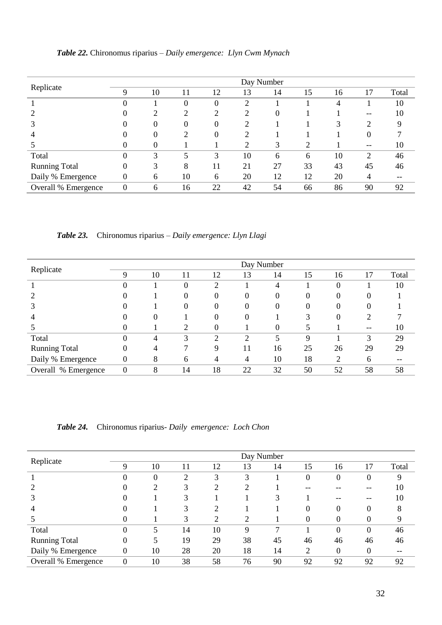|                      | Day Number     |          |                  |                  |                |    |    |    |          |       |  |  |  |
|----------------------|----------------|----------|------------------|------------------|----------------|----|----|----|----------|-------|--|--|--|
| Replicate            | $\mathbf Q$    | 10       | 11               | 12               | 13             | 14 | 15 | 16 | 17       | Total |  |  |  |
|                      | $\Omega$       |          | $\theta$         | $\theta$         | 2              |    |    | 4  |          | 10    |  |  |  |
|                      |                | ◠        | ↑                | ↑                | っ              | 0  |    |    | --       | 10    |  |  |  |
|                      |                | $\theta$ | $\boldsymbol{0}$ | $\boldsymbol{0}$ | $\overline{2}$ |    |    | 3  | 2        |       |  |  |  |
| $\overline{4}$       |                | $\theta$ | 2                | $\theta$         | $\overline{c}$ |    |    |    | $\theta$ |       |  |  |  |
|                      |                | 0        |                  |                  | $\overline{2}$ | 3  | 2  |    | --       | 10    |  |  |  |
| Total                | $\Omega$       | 3        | 5                | 3                | 10             | 6  | 6  | 10 | 2        | 46    |  |  |  |
| <b>Running Total</b> | $\Omega$       | 3        | 8                | 11               | 21             | 27 | 33 | 43 | 45       | 46    |  |  |  |
| Daily % Emergence    | $\overline{0}$ | 6        | 10               | 6                | 20             | 12 | 12 | 20 | 4        | --    |  |  |  |
| Overall % Emergence  | $\theta$       | 6        | 16               | 22               | 42             | 54 | 66 | 86 | 90       | 92    |  |  |  |

*Table 22.* Chironomus riparius *– Daily emergence: Llyn Cwm Mynach*

*Table 23.* Chironomus riparius *– Daily emergence: Llyn Llagi*

|                      |                  |    |          |          |                | Day Number       |          |    |        |       |
|----------------------|------------------|----|----------|----------|----------------|------------------|----------|----|--------|-------|
| Replicate            | 9                | 10 | 11       | 12       | 13             | 14               | 15       | 16 | 17     | Total |
|                      |                  |    | $\theta$ | ာ        |                | 4                |          | O  |        | 10    |
|                      |                  |    | $\Omega$ | $\theta$ | $\theta$       | $\theta$         | $\Omega$ | O  | $_{0}$ |       |
|                      |                  |    | $\theta$ | 0        | 0              | $\boldsymbol{0}$ | 0        | 0  | 0      |       |
|                      |                  | 0  |          | 0        | $\theta$       |                  |          |    | 2      |       |
|                      |                  |    | 2        | 0        |                | 0                |          |    | --     | 10    |
| Total                |                  | 4  | 3        | 2        | $\overline{2}$ |                  | 9        |    | 3      | 29    |
| <b>Running Total</b> | $\Omega$         |    | ⇁        | 9        | 11             | 16               | 25       | 26 | 29     | 29    |
| Daily % Emergence    | $\boldsymbol{0}$ | 8  | 6        | 4        | 4              | 10               | 18       | 2  | 6      | --    |
| Overall % Emergence  | $\overline{0}$   | 8  | 14       | 18       | 22             | 32               | 50       | 52 | 58     | 58    |

*Table 24.* Chironomus riparius*- Daily emergence: Loch Chon*

|                      | Day Number     |          |    |                |                |    |    |          |          |       |  |  |  |
|----------------------|----------------|----------|----|----------------|----------------|----|----|----------|----------|-------|--|--|--|
| Replicate            | 9              | 10       | 11 | 12             | 13             | 14 | 15 | 16       | 17       | Total |  |  |  |
|                      | 0              | $\theta$ | ◠  | 3              | 3              |    | 0  | 0        | $\theta$ | 9     |  |  |  |
|                      |                | ↑        | 3  | ↑              | ◠              |    |    |          |          | 10    |  |  |  |
|                      |                |          | 3  |                |                | 3  |    |          |          | 10    |  |  |  |
|                      |                |          | 3  | $\overline{2}$ |                |    | 0  | $\theta$ | $\theta$ | 8     |  |  |  |
|                      |                |          | 3  | $\overline{2}$ | $\overline{2}$ |    | 0  | 0        | $\Omega$ | 9     |  |  |  |
| Total                |                | 5        | 14 | 10             | 9              | 7  |    | $\theta$ | $\theta$ | 46    |  |  |  |
| <b>Running Total</b> | 0              |          | 19 | 29             | 38             | 45 | 46 | 46       | 46       | 46    |  |  |  |
| Daily % Emergence    | $\overline{0}$ | 10       | 28 | 20             | 18             | 14 | 2  | 0        | $\Omega$ |       |  |  |  |
| Overall % Emergence  | $\overline{0}$ | 10       | 38 | 58             | 76             | 90 | 92 | 92       | 92       | 92    |  |  |  |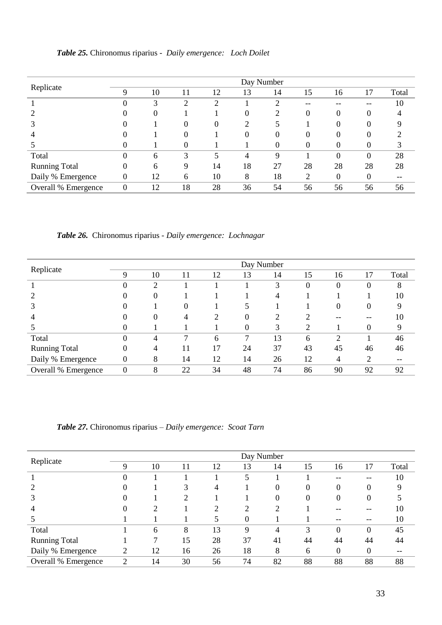|                      | Day Number       |    |          |    |                |          |          |          |          |       |  |  |  |
|----------------------|------------------|----|----------|----|----------------|----------|----------|----------|----------|-------|--|--|--|
| Replicate            | 9                | 10 | 11       | 12 | 13             | 14       | 15       | 16       | 17       | Total |  |  |  |
|                      |                  | 3  | っ        | っ  |                |          | --       |          |          | 10    |  |  |  |
|                      |                  | 0  |          |    | $\theta$       | റ        | $\theta$ | $\theta$ |          |       |  |  |  |
|                      |                  |    | $\theta$ | 0  | $\overline{2}$ |          |          | 0        |          |       |  |  |  |
|                      |                  |    | 0        |    | 0              | $\theta$ | 0        | 0        |          |       |  |  |  |
|                      |                  |    | $\theta$ |    |                | 0        | 0        | 0        |          |       |  |  |  |
| Total                |                  | 6  | 3        | ς  | 4              | 9        |          | $\theta$ | $\Omega$ | 28    |  |  |  |
| <b>Running Total</b> | 0                | 6  | 9        | 14 | 18             | 27       | 28       | 28       | 28       | 28    |  |  |  |
| Daily % Emergence    | 0                | 12 | 6        | 10 | 8              | 18       | 2        | 0        | $\Omega$ |       |  |  |  |
| Overall % Emergence  | $\boldsymbol{0}$ | 12 | 18       | 28 | 36             | 54       | 56       | 56       | 56       | 56    |  |  |  |

*Table 25.* Chironomus riparius *- Daily emergence: Loch Doilet*

*Table 26.* Chironomus riparius *- Daily emergence: Lochnagar*

|                      |                  |    |                  |                |          | Day Number |    |                  |          |       |
|----------------------|------------------|----|------------------|----------------|----------|------------|----|------------------|----------|-------|
| Replicate            | 9                | 10 | 11               | 12             | 13       | 14         | 15 | 16               | 17       | Total |
|                      |                  | 2  |                  |                |          | 3          | 0  | O                | $\Omega$ | 8     |
|                      |                  | 0  |                  |                |          | 4          |    |                  |          | 10    |
|                      | $\Omega$         |    | $\boldsymbol{0}$ |                |          |            |    | $\boldsymbol{0}$ | $\theta$ | 9     |
| 4                    |                  | 0  | 4                | $\overline{2}$ | 0        | ∍          | ⌒  |                  |          | 10    |
|                      |                  |    |                  |                | $\Omega$ | 3          | 2  |                  | $\Omega$ | 9     |
| Total                | $\Omega$         | 4  | ⇁                | 6              | 7        | 13         | 6  | C                |          | 46    |
| <b>Running Total</b> | $\theta$         | 4  | 11               | 17             | 24       | 37         | 43 | 45               | 46       | 46    |
| Daily % Emergence    | $\boldsymbol{0}$ | 8  | 14               | 12             | 14       | 26         | 12 | 4                | 2        | --    |
| Overall % Emergence  | $\overline{0}$   | 8  | 22               | 34             | 48       | 74         | 86 | 90               | 92       | 92    |

*Table 27.* Chironomus riparius *– Daily emergence: Scoat Tarn*

|                      | Day Number |    |    |    |                |                |    |                  |          |       |  |  |  |
|----------------------|------------|----|----|----|----------------|----------------|----|------------------|----------|-------|--|--|--|
| Replicate            | 9          | 10 | 11 | 12 | 13             | 14             | 15 | 16               | 17       | Total |  |  |  |
|                      | 0          |    |    |    | 5              |                |    | $- -$            | --       | 10    |  |  |  |
|                      |            |    | 3  | 4  |                | $\Omega$       | 0  | $\theta$         | $\theta$ | Q     |  |  |  |
|                      |            |    | 2  |    |                | $\theta$       | 0  | $\overline{0}$   | $\Omega$ |       |  |  |  |
|                      |            |    |    | ↑  | $\overline{2}$ | $\overline{2}$ |    |                  |          | 10    |  |  |  |
|                      |            |    |    | 5  | $\theta$       |                |    |                  |          | 10    |  |  |  |
| Total                |            | 6  | 8  | 13 | 9              | $\overline{4}$ | 3  | $\theta$         | $\theta$ | 45    |  |  |  |
| <b>Running Total</b> |            |    | 15 | 28 | 37             | 41             | 44 | 44               | 44       | 44    |  |  |  |
| Daily % Emergence    | ∍          | 12 | 16 | 26 | 18             | 8              | 6  | $\boldsymbol{0}$ | $\Omega$ |       |  |  |  |
| Overall % Emergence  | 2          | 14 | 30 | 56 | 74             | 82             | 88 | 88               | 88       | 88    |  |  |  |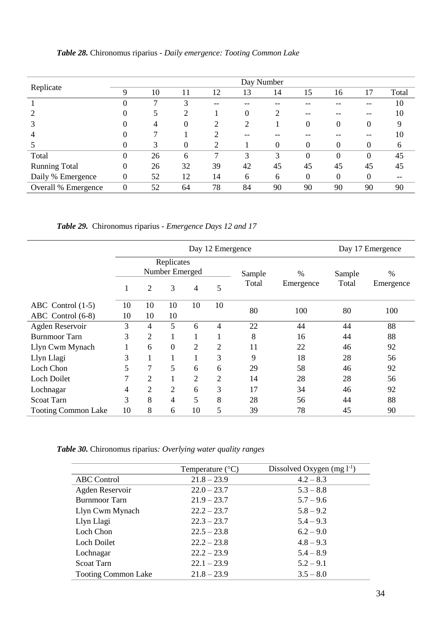|                      | Day Number     |    |          |    |                |          |                |                  |                |       |  |  |  |
|----------------------|----------------|----|----------|----|----------------|----------|----------------|------------------|----------------|-------|--|--|--|
| Replicate            | 9              | 10 | 11       | 12 | 13             | 14       | 15             | 16               | 17             | Total |  |  |  |
|                      | $\Omega$       |    | 3        | -- | --             |          |                |                  |                | 10    |  |  |  |
|                      |                |    | 2        |    | $\Omega$       | 2        | --             |                  |                | 10    |  |  |  |
|                      |                | 4  | $\theta$ | 2  | $\overline{2}$ |          | 0              | $\boldsymbol{0}$ | $\Omega$       | 9     |  |  |  |
| 4                    |                |    |          |    |                |          |                |                  |                | 10    |  |  |  |
|                      |                | 3  | $\theta$ | ↑  |                | $\theta$ | 0              | $\Omega$         | $\Omega$       | 6     |  |  |  |
| Total                | $\theta$       | 26 | 6        | 7  | 3              | 3        | $\theta$       | $\theta$         | $\overline{0}$ | 45    |  |  |  |
| <b>Running Total</b> | $\theta$       | 26 | 32       | 39 | 42             | 45       | 45             | 45               | 45             | 45    |  |  |  |
| Daily % Emergence    | $\overline{0}$ | 52 | 12       | 14 | 6              | 6        | $\overline{0}$ | $\overline{0}$   | 0              |       |  |  |  |
| Overall % Emergence  | $\overline{0}$ | 52 | 64       | 78 | 84             | 90       | 90             | 90               | 90             | 90    |  |  |  |

*Table 28.* Chironomus riparius *- Daily emergence: Tooting Common Lake*

*Table 29.* Chironomus riparius *- Emergence Days 12 and 17*

|                            |    |                |                                   |                | Day 17 Emergence |                 |                   |                 |                   |
|----------------------------|----|----------------|-----------------------------------|----------------|------------------|-----------------|-------------------|-----------------|-------------------|
|                            |    | $\overline{2}$ | Replicates<br>Number Emerged<br>3 | 4              | 5                | Sample<br>Total | $\%$<br>Emergence | Sample<br>Total | $\%$<br>Emergence |
|                            |    |                |                                   |                |                  |                 |                   |                 |                   |
| ABC Control $(1-5)$        | 10 | 10             | 10                                | 10             | 10               | 80              | 100               | 80              | 100               |
| ABC Control (6-8)          | 10 | 10             | 10                                |                |                  |                 |                   |                 |                   |
| Agden Reservoir            | 3  | 4              | 5                                 | 6              | 4                | 22              | 44                | 44              | 88                |
| <b>Burnmoor Tarn</b>       | 3  | $\overline{2}$ |                                   |                |                  | 8               | 16                | 44              | 88                |
| Llyn Cwm Mynach            |    | 6              | $\overline{0}$                    | $\overline{2}$ | $\overline{2}$   | 11              | 22                | 46              | 92                |
| Llyn Llagi                 | 3  |                |                                   |                | 3                | 9               | 18                | 28              | 56                |
| Loch Chon                  | 5  | 7              | 5                                 | 6              | 6                | 29              | 58                | 46              | 92                |
| <b>Loch Doilet</b>         | 7  | 2              |                                   | $\overline{2}$ | 2                | 14              | 28                | 28              | 56                |
| Lochnagar                  | 4  | $\overline{2}$ | $\overline{2}$                    | 6              | 3                | 17              | 34                | 46              | 92                |
| <b>Scoat Tarn</b>          | 3  | 8              | 4                                 | 5              | 8                | 28              | 56                | 44              | 88                |
| <b>Tooting Common Lake</b> | 10 | 8              | 6                                 | 10             | 5                | 39              | 78                | 45              | 90                |

*Table 30.* Chironomus riparius*: Overlying water quality ranges*

|                            | Temperature $(^{\circ}C)$ | Dissolved Oxygen $(mg l^{-1})$ |
|----------------------------|---------------------------|--------------------------------|
| <b>ABC</b> Control         | $21.8 - 23.9$             | $4.2 - 8.3$                    |
| Agden Reservoir            | $22.0 - 23.7$             | $5.3 - 8.8$                    |
| <b>Burnmoor Tarn</b>       | $21.9 - 23.7$             | $5.7 - 9.6$                    |
| Llyn Cwm Mynach            | $22.2 - 23.7$             | $5.8 - 9.2$                    |
| Llyn Llagi                 | $22.3 - 23.7$             | $5.4 - 9.3$                    |
| Loch Chon                  | $22.5 - 23.8$             | $6.2 - 9.0$                    |
| Loch Doilet                | $22.2 - 23.8$             | $4.8 - 9.3$                    |
| Lochnagar                  | $22.2 - 23.9$             | $5.4 - 8.9$                    |
| Scoat Tarn                 | $22.1 - 23.9$             | $5.2 - 9.1$                    |
| <b>Tooting Common Lake</b> | $21.8 - 23.9$             | $3.5 - 8.0$                    |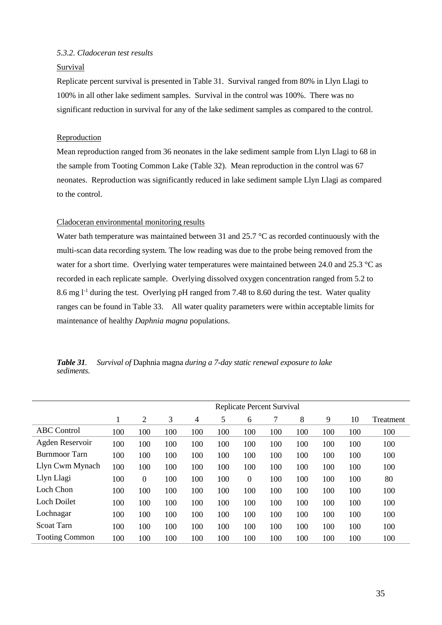## *5.3.2. Cladoceran test results*

## **Survival**

Replicate percent survival is presented in Table 31. Survival ranged from 80% in Llyn Llagi to 100% in all other lake sediment samples. Survival in the control was 100%. There was no significant reduction in survival for any of the lake sediment samples as compared to the control.

## Reproduction

Mean reproduction ranged from 36 neonates in the lake sediment sample from Llyn Llagi to 68 in the sample from Tooting Common Lake (Table 32). Mean reproduction in the control was 67 neonates. Reproduction was significantly reduced in lake sediment sample Llyn Llagi as compared to the control.

## Cladoceran environmental monitoring results

Water bath temperature was maintained between 31 and 25.7 °C as recorded continuously with the multi-scan data recording system. The low reading was due to the probe being removed from the water for a short time. Overlying water temperatures were maintained between 24.0 and 25.3  $^{\circ}$ C as recorded in each replicate sample. Overlying dissolved oxygen concentration ranged from 5.2 to 8.6 mg l<sup>-1</sup> during the test. Overlying pH ranged from 7.48 to 8.60 during the test. Water quality ranges can be found in Table 33. All water quality parameters were within acceptable limits for maintenance of healthy *Daphnia magna* populations.

|            | <b>Table 31.</b> Survival of Daphnia magna during a 7-day static renewal exposure to lake |
|------------|-------------------------------------------------------------------------------------------|
| sediments. |                                                                                           |

|                       | Replicate Percent Survival |                |     |     |     |          |     |     |     |     |           |  |
|-----------------------|----------------------------|----------------|-----|-----|-----|----------|-----|-----|-----|-----|-----------|--|
|                       | 1                          | $\overline{2}$ | 3   | 4   | 5   | 6        | 7   | 8   | 9   | 10  | Treatment |  |
| <b>ABC</b> Control    | 100                        | 100            | 100 | 100 | 100 | 100      | 100 | 100 | 100 | 100 | 100       |  |
| Agden Reservoir       | 100                        | 100            | 100 | 100 | 100 | 100      | 100 | 100 | 100 | 100 | 100       |  |
| Burnmoor Tarn         | 100                        | 100            | 100 | 100 | 100 | 100      | 100 | 100 | 100 | 100 | 100       |  |
| Llyn Cwm Mynach       | 100                        | 100            | 100 | 100 | 100 | 100      | 100 | 100 | 100 | 100 | 100       |  |
| Llyn Llagi            | 100                        | $\theta$       | 100 | 100 | 100 | $\Omega$ | 100 | 100 | 100 | 100 | 80        |  |
| Loch Chon             | 100                        | 100            | 100 | 100 | 100 | 100      | 100 | 100 | 100 | 100 | 100       |  |
| Loch Doilet           | 100                        | 100            | 100 | 100 | 100 | 100      | 100 | 100 | 100 | 100 | 100       |  |
| Lochnagar             | 100                        | 100            | 100 | 100 | 100 | 100      | 100 | 100 | 100 | 100 | 100       |  |
| <b>Scoat Tarn</b>     | 100                        | 100            | 100 | 100 | 100 | 100      | 100 | 100 | 100 | 100 | 100       |  |
| <b>Tooting Common</b> | 100                        | 100            | 100 | 100 | 100 | 100      | 100 | 100 | 100 | 100 | 100       |  |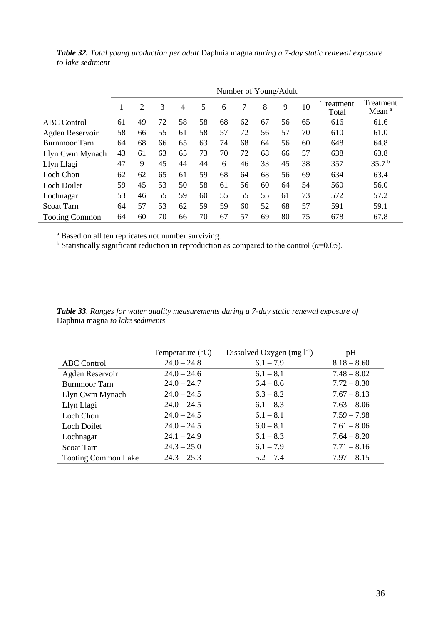|                       | Number of Young/Adult |    |    |    |    |    |    |    |    |    |                    |                                |
|-----------------------|-----------------------|----|----|----|----|----|----|----|----|----|--------------------|--------------------------------|
|                       |                       | 2  | 3  | 4  | 5  | 6  | 7  | 8  | 9  | 10 | Treatment<br>Total | Treatment<br>Mean <sup>a</sup> |
| <b>ABC</b> Control    | 61                    | 49 | 72 | 58 | 58 | 68 | 62 | 67 | 56 | 65 | 616                | 61.6                           |
| Agden Reservoir       | 58                    | 66 | 55 | 61 | 58 | 57 | 72 | 56 | 57 | 70 | 610                | 61.0                           |
| <b>Burnmoor</b> Tarn  | 64                    | 68 | 66 | 65 | 63 | 74 | 68 | 64 | 56 | 60 | 648                | 64.8                           |
| Llyn Cwm Mynach       | 43                    | 61 | 63 | 65 | 73 | 70 | 72 | 68 | 66 | 57 | 638                | 63.8                           |
| Llyn Llagi            | 47                    | 9  | 45 | 44 | 44 | 6  | 46 | 33 | 45 | 38 | 357                | 35.7 <sup>b</sup>              |
| Loch Chon             | 62                    | 62 | 65 | 61 | 59 | 68 | 64 | 68 | 56 | 69 | 634                | 63.4                           |
| <b>Loch Doilet</b>    | 59                    | 45 | 53 | 50 | 58 | 61 | 56 | 60 | 64 | 54 | 560                | 56.0                           |
| Lochnagar             | 53                    | 46 | 55 | 59 | 60 | 55 | 55 | 55 | 61 | 73 | 572                | 57.2                           |
| <b>Scoat Tarn</b>     | 64                    | 57 | 53 | 62 | 59 | 59 | 60 | 52 | 68 | 57 | 591                | 59.1                           |
| <b>Tooting Common</b> | 64                    | 60 | 70 | 66 | 70 | 67 | 57 | 69 | 80 | 75 | 678                | 67.8                           |

*Table 32. Total young production per adult* Daphnia magna *during a 7-day static renewal exposure to lake sediment*

<sup>a</sup> Based on all ten replicates not number surviving.

<sup>b</sup> Statistically significant reduction in reproduction as compared to the control ( $\alpha$ =0.05).

*Table 33. Ranges for water quality measurements during a 7-day static renewal exposure of*  Daphnia magna *to lake sediments*

|                            | Temperature $(^{\circ}C)$ | Dissolved Oxygen $(mg l^{-1})$ | pH            |
|----------------------------|---------------------------|--------------------------------|---------------|
| ABC Control                | $24.0 - 24.8$             | $6.1 - 7.9$                    | $8.18 - 8.60$ |
| Agden Reservoir            | $24.0 - 24.6$             | $6.1 - 8.1$                    | $7.48 - 8.02$ |
| <b>Burnmoor Tarn</b>       | $24.0 - 24.7$             | $6.4 - 8.6$                    | $7.72 - 8.30$ |
| Llyn Cwm Mynach            | $24.0 - 24.5$             | $6.3 - 8.2$                    | $7.67 - 8.13$ |
| Llyn Llagi                 | $24.0 - 24.5$             | $6.1 - 8.3$                    | $7.63 - 8.06$ |
| Loch Chon                  | $24.0 - 24.5$             | $6.1 - 8.1$                    | $7.59 - 7.98$ |
| Loch Doilet                | $24.0 - 24.5$             | $6.0 - 8.1$                    | $7.61 - 8.06$ |
| Lochnagar                  | $24.1 - 24.9$             | $6.1 - 8.3$                    | $7.64 - 8.20$ |
| <b>Scoat Tarn</b>          | $24.3 - 25.0$             | $6.1 - 7.9$                    | $7.71 - 8.16$ |
| <b>Tooting Common Lake</b> | $24.3 - 25.3$             | $5.2 - 7.4$                    | $7.97 - 8.15$ |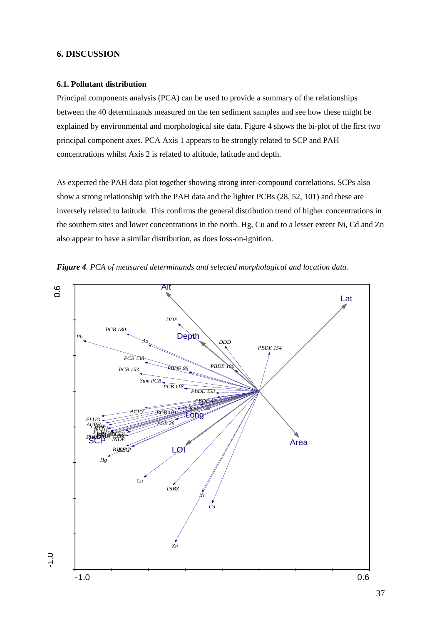## **6. DISCUSSION**

## **6.1. Pollutant distribution**

Principal components analysis (PCA) can be used to provide a summary of the relationships between the 40 determinands measured on the ten sediment samples and see how these might be explained by environmental and morphological site data. Figure 4 shows the bi-plot of the first two principal component axes. PCA Axis 1 appears to be strongly related to SCP and PAH concentrations whilst Axis 2 is related to altitude, latitude and depth.

As expected the PAH data plot together showing strong inter-compound correlations. SCPs also show a strong relationship with the PAH data and the lighter PCBs (28, 52, 101) and these are inversely related to latitude. This confirms the general distribution trend of higher concentrations in the southern sites and lower concentrations in the north. Hg, Cu and to a lesser extent Ni, Cd and Zn also appear to have a similar distribution, as does loss-on-ignition.



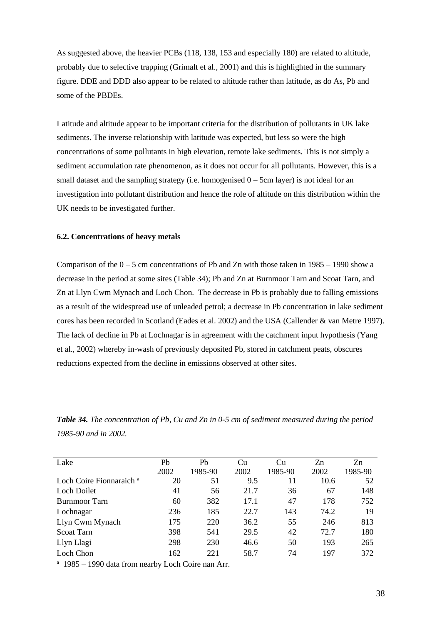As suggested above, the heavier PCBs (118, 138, 153 and especially 180) are related to altitude, probably due to selective trapping (Grimalt et al., 2001) and this is highlighted in the summary figure. DDE and DDD also appear to be related to altitude rather than latitude, as do As, Pb and some of the PBDEs.

Latitude and altitude appear to be important criteria for the distribution of pollutants in UK lake sediments. The inverse relationship with latitude was expected, but less so were the high concentrations of some pollutants in high elevation, remote lake sediments. This is not simply a sediment accumulation rate phenomenon, as it does not occur for all pollutants. However, this is a small dataset and the sampling strategy (i.e. homogenised  $0 - 5$ cm layer) is not ideal for an investigation into pollutant distribution and hence the role of altitude on this distribution within the UK needs to be investigated further.

#### **6.2. Concentrations of heavy metals**

Comparison of the  $0 - 5$  cm concentrations of Pb and Zn with those taken in 1985 – 1990 show a decrease in the period at some sites (Table 34); Pb and Zn at Burnmoor Tarn and Scoat Tarn, and Zn at Llyn Cwm Mynach and Loch Chon. The decrease in Pb is probably due to falling emissions as a result of the widespread use of unleaded petrol; a decrease in Pb concentration in lake sediment cores has been recorded in Scotland (Eades et al. 2002) and the USA (Callender & van Metre 1997). The lack of decline in Pb at Lochnagar is in agreement with the catchment input hypothesis (Yang et al., 2002) whereby in-wash of previously deposited Pb, stored in catchment peats, obscures reductions expected from the decline in emissions observed at other sites.

*Table 34. The concentration of Pb, Cu and Zn in 0-5 cm of sediment measured during the period 1985-90 and in 2002.*

| Lake                                | Pb   | P <sub>b</sub> | Cu   | Cu      | Zn   | Zn      |
|-------------------------------------|------|----------------|------|---------|------|---------|
|                                     | 2002 | 1985-90        | 2002 | 1985-90 | 2002 | 1985-90 |
| Loch Coire Fionnaraich <sup>a</sup> | 20   | 51             | 9.5  | 11      | 10.6 | 52      |
| Loch Doilet                         | 41   | 56             | 21.7 | 36      | 67   | 148     |
| Burnmoor Tarn                       | 60   | 382            | 17.1 | 47      | 178  | 752     |
| Lochnagar                           | 236  | 185            | 22.7 | 143     | 74.2 | 19      |
| Llyn Cwm Mynach                     | 175  | 220            | 36.2 | 55      | 246  | 813     |
| Scoat Tarn                          | 398  | 541            | 29.5 | 42      | 72.7 | 180     |
| Llyn Llagi                          | 298  | 230            | 46.6 | 50      | 193  | 265     |
| Loch Chon                           | 162  | 221            | 58.7 | 74      | 197  | 372     |

<sup>a</sup> 1985 – 1990 data from nearby Loch Coire nan Arr.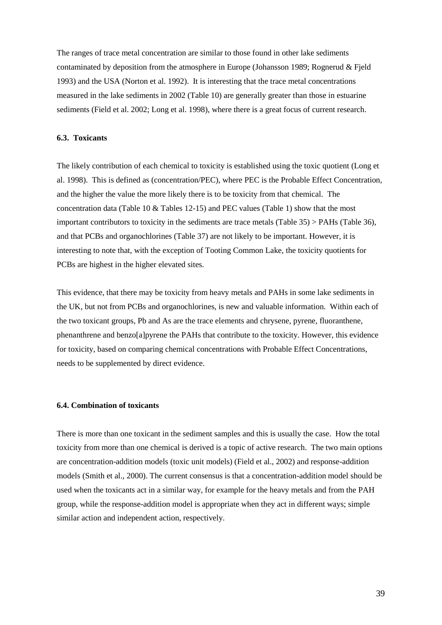The ranges of trace metal concentration are similar to those found in other lake sediments contaminated by deposition from the atmosphere in Europe (Johansson 1989; Rognerud & Fjeld 1993) and the USA (Norton et al. 1992). It is interesting that the trace metal concentrations measured in the lake sediments in 2002 (Table 10) are generally greater than those in estuarine sediments (Field et al. 2002; Long et al. 1998), where there is a great focus of current research.

## **6.3. Toxicants**

The likely contribution of each chemical to toxicity is established using the toxic quotient (Long et al. 1998). This is defined as (concentration/PEC), where PEC is the Probable Effect Concentration, and the higher the value the more likely there is to be toxicity from that chemical. The concentration data (Table 10 & Tables 12-15) and PEC values (Table 1) show that the most important contributors to toxicity in the sediments are trace metals (Table 35) > PAHs (Table 36), and that PCBs and organochlorines (Table 37) are not likely to be important. However, it is interesting to note that, with the exception of Tooting Common Lake, the toxicity quotients for PCBs are highest in the higher elevated sites.

This evidence, that there may be toxicity from heavy metals and PAHs in some lake sediments in the UK, but not from PCBs and organochlorines, is new and valuable information. Within each of the two toxicant groups, Pb and As are the trace elements and chrysene, pyrene, fluoranthene, phenanthrene and benzo[a]pyrene the PAHs that contribute to the toxicity. However, this evidence for toxicity, based on comparing chemical concentrations with Probable Effect Concentrations, needs to be supplemented by direct evidence.

#### **6.4. Combination of toxicants**

There is more than one toxicant in the sediment samples and this is usually the case. How the total toxicity from more than one chemical is derived is a topic of active research. The two main options are concentration-addition models (toxic unit models) (Field et al., 2002) and response-addition models (Smith et al., 2000). The current consensus is that a concentration-addition model should be used when the toxicants act in a similar way, for example for the heavy metals and from the PAH group, while the response-addition model is appropriate when they act in different ways; simple similar action and independent action, respectively.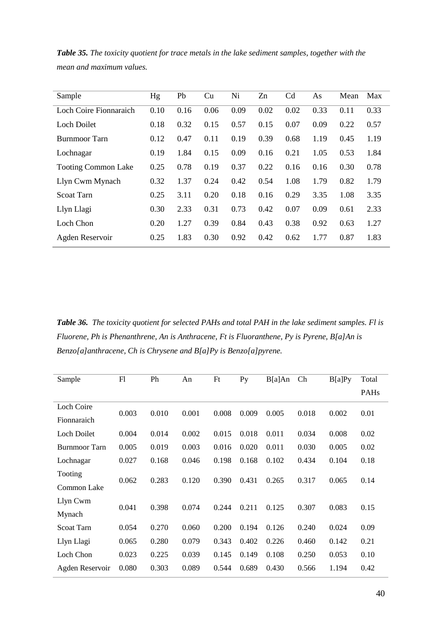| Sample                     | Hg   | Pb   | Cu   | Ni   | Zn   | C <sub>d</sub> | As   | Mean | Max  |
|----------------------------|------|------|------|------|------|----------------|------|------|------|
| Loch Coire Fionnaraich     | 0.10 | 0.16 | 0.06 | 0.09 | 0.02 | 0.02           | 0.33 | 0.11 | 0.33 |
| <b>Loch Doilet</b>         | 0.18 | 0.32 | 0.15 | 0.57 | 0.15 | 0.07           | 0.09 | 0.22 | 0.57 |
| <b>Burnmoor Tarn</b>       | 0.12 | 0.47 | 0.11 | 0.19 | 0.39 | 0.68           | 1.19 | 0.45 | 1.19 |
| Lochnagar                  | 0.19 | 1.84 | 0.15 | 0.09 | 0.16 | 0.21           | 1.05 | 0.53 | 1.84 |
| <b>Tooting Common Lake</b> | 0.25 | 0.78 | 0.19 | 0.37 | 0.22 | 0.16           | 0.16 | 0.30 | 0.78 |
| Llyn Cwm Mynach            | 0.32 | 1.37 | 0.24 | 0.42 | 0.54 | 1.08           | 1.79 | 0.82 | 1.79 |
| <b>Scoat Tarn</b>          | 0.25 | 3.11 | 0.20 | 0.18 | 0.16 | 0.29           | 3.35 | 1.08 | 3.35 |
| Llyn Llagi                 | 0.30 | 2.33 | 0.31 | 0.73 | 0.42 | 0.07           | 0.09 | 0.61 | 2.33 |
| Loch Chon                  | 0.20 | 1.27 | 0.39 | 0.84 | 0.43 | 0.38           | 0.92 | 0.63 | 1.27 |
| Agden Reservoir            | 0.25 | 1.83 | 0.30 | 0.92 | 0.42 | 0.62           | 1.77 | 0.87 | 1.83 |

*Table 35. The toxicity quotient for trace metals in the lake sediment samples, together with the mean and maximum values.*

*Table 36. The toxicity quotient for selected PAHs and total PAH in the lake sediment samples. Fl is Fluorene, Ph is Phenanthrene, An is Anthracene, Ft is Fluoranthene, Py is Pyrene, B[a]An is Benzo[a]anthracene, Ch is Chrysene and B[a]Py is Benzo[a]pyrene.*

| Sample               | F1    | Ph    | An    | Ft    | Py    | $B[a]$ An | Ch    | B[a]Py | Total |
|----------------------|-------|-------|-------|-------|-------|-----------|-------|--------|-------|
|                      |       |       |       |       |       |           |       |        | PAHs  |
| <b>Loch Coire</b>    | 0.003 | 0.010 | 0.001 | 0.008 | 0.009 | 0.005     | 0.018 | 0.002  | 0.01  |
| Fionnaraich          |       |       |       |       |       |           |       |        |       |
| <b>Loch Doilet</b>   | 0.004 | 0.014 | 0.002 | 0.015 | 0.018 | 0.011     | 0.034 | 0.008  | 0.02  |
| <b>Burnmoor Tarn</b> | 0.005 | 0.019 | 0.003 | 0.016 | 0.020 | 0.011     | 0.030 | 0.005  | 0.02  |
| Lochnagar            | 0.027 | 0.168 | 0.046 | 0.198 | 0.168 | 0.102     | 0.434 | 0.104  | 0.18  |
| Tooting              |       |       |       |       |       |           |       |        |       |
| Common Lake          | 0.062 | 0.283 | 0.120 | 0.390 | 0.431 | 0.265     | 0.317 | 0.065  | 0.14  |
| Llyn Cwm             |       |       |       |       |       |           |       |        |       |
| Mynach               | 0.041 | 0.398 | 0.074 | 0.244 | 0.211 | 0.125     | 0.307 | 0.083  | 0.15  |
| <b>Scoat Tarn</b>    | 0.054 | 0.270 | 0.060 | 0.200 | 0.194 | 0.126     | 0.240 | 0.024  | 0.09  |
| Llyn Llagi           | 0.065 | 0.280 | 0.079 | 0.343 | 0.402 | 0.226     | 0.460 | 0.142  | 0.21  |
| Loch Chon            | 0.023 | 0.225 | 0.039 | 0.145 | 0.149 | 0.108     | 0.250 | 0.053  | 0.10  |
| Agden Reservoir      | 0.080 | 0.303 | 0.089 | 0.544 | 0.689 | 0.430     | 0.566 | 1.194  | 0.42  |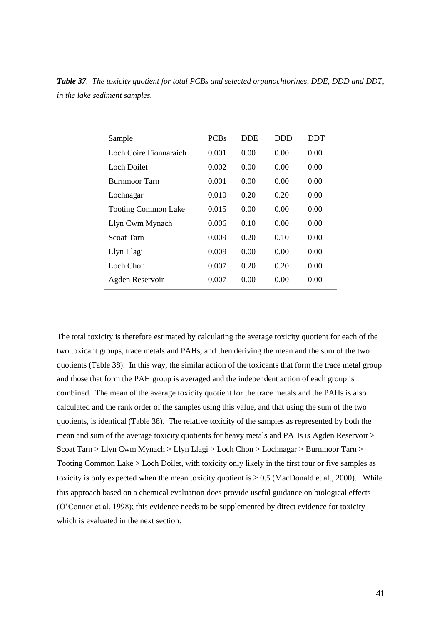*Table 37. The toxicity quotient for total PCBs and selected organochlorines, DDE, DDD and DDT, in the lake sediment samples.*

| Sample                     | <b>PCBs</b> | <b>DDE</b> | <b>DDD</b> | <b>DDT</b> |
|----------------------------|-------------|------------|------------|------------|
| Loch Coire Fionnaraich     | 0.001       | 0.00       | 0.00       | 0.00       |
| Loch Doilet                | 0.002       | 0.00       | 0.00       | 0.00       |
| Burnmoor Tarn              | 0.001       | 0.00       | 0.00       | 0.00       |
| Lochnagar                  | 0.010       | 0.20       | 0.20       | 0.00       |
| <b>Tooting Common Lake</b> | 0.015       | 0.00       | 0.00       | 0.00       |
| Llyn Cwm Mynach            | 0.006       | 0.10       | 0.00       | 0.00       |
| Scoat Tarn                 | 0.009       | 0.20       | 0.10       | 0.00       |
| Llyn Llagi                 | 0.009       | 0.00       | 0.00       | 0.00       |
| Loch Chon                  | 0.007       | 0.20       | 0.20       | 0.00       |
| Agden Reservoir            | 0.007       | 0.00       | 0.00       | 0.00       |

The total toxicity is therefore estimated by calculating the average toxicity quotient for each of the two toxicant groups, trace metals and PAHs, and then deriving the mean and the sum of the two quotients (Table 38). In this way, the similar action of the toxicants that form the trace metal group and those that form the PAH group is averaged and the independent action of each group is combined. The mean of the average toxicity quotient for the trace metals and the PAHs is also calculated and the rank order of the samples using this value, and that using the sum of the two quotients, is identical (Table 38). The relative toxicity of the samples as represented by both the mean and sum of the average toxicity quotients for heavy metals and PAHs is Agden Reservoir > Scoat Tarn > Llyn Cwm Mynach > Llyn Llagi > Loch Chon > Lochnagar > Burnmoor Tarn > Tooting Common Lake > Loch Doilet, with toxicity only likely in the first four or five samples as toxicity is only expected when the mean toxicity quotient is  $\geq 0.5$  (MacDonald et al., 2000). While this approach based on a chemical evaluation does provide useful guidance on biological effects (O'Connor et al. 1998); this evidence needs to be supplemented by direct evidence for toxicity which is evaluated in the next section.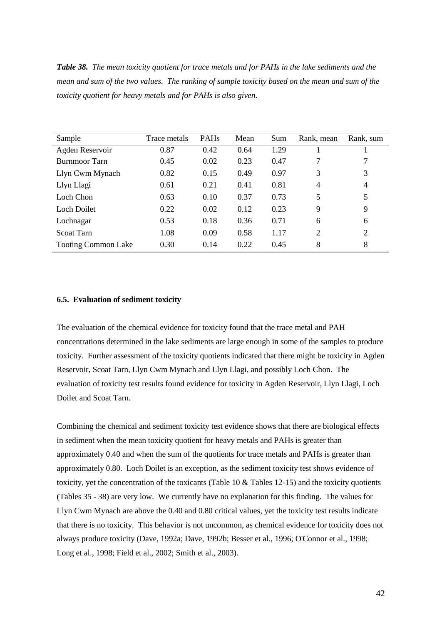*Table 38. The mean toxicity quotient for trace metals and for PAHs in the lake sediments and the mean and sum of the two values. The ranking of sample toxicity based on the mean and sum of the toxicity quotient for heavy metals and for PAHs is also given*.

| Sample                     | Trace metals | <b>PAHs</b> | Mean | Sum  | Rank, mean     | Rank, sum      |
|----------------------------|--------------|-------------|------|------|----------------|----------------|
| Agden Reservoir            | 0.87         | 0.42        | 0.64 | 1.29 |                |                |
| <b>Burnmoor Tarn</b>       | 0.45         | 0.02        | 0.23 | 0.47 | 7              | 7              |
| Llyn Cwm Mynach            | 0.82         | 0.15        | 0.49 | 0.97 | 3              | 3              |
| Llyn Llagi                 | 0.61         | 0.21        | 0.41 | 0.81 | $\overline{4}$ | $\overline{4}$ |
| Loch Chon                  | 0.63         | 0.10        | 0.37 | 0.73 | 5              | 5              |
| Loch Doilet                | 0.22         | 0.02        | 0.12 | 0.23 | 9              | 9              |
| Lochnagar                  | 0.53         | 0.18        | 0.36 | 0.71 | 6              | 6              |
| <b>Scoat Tarn</b>          | 1.08         | 0.09        | 0.58 | 1.17 | 2              | $\overline{2}$ |
| <b>Tooting Common Lake</b> | 0.30         | 0.14        | 0.22 | 0.45 | 8              | 8              |

#### **6.5. Evaluation of sediment toxicity**

The evaluation of the chemical evidence for toxicity found that the trace metal and PAH concentrations determined in the lake sediments are large enough in some of the samples to produce toxicity. Further assessment of the toxicity quotients indicated that there might be toxicity in Agden Reservoir, Scoat Tarn, Llyn Cwm Mynach and Llyn Llagi, and possibly Loch Chon. The evaluation of toxicity test results found evidence for toxicity in Agden Reservoir, Llyn Llagi, Loch Doilet and Scoat Tarn.

Combining the chemical and sediment toxicity test evidence shows that there are biological effects in sediment when the mean toxicity quotient for heavy metals and PAHs is greater than approximately 0.40 and when the sum of the quotients for trace metals and PAHs is greater than approximately 0.80. Loch Doilet is an exception, as the sediment toxicity test shows evidence of toxicity, yet the concentration of the toxicants (Table 10 & Tables 12-15) and the toxicity quotients (Tables 35 - 38) are very low. We currently have no explanation for this finding. The values for Llyn Cwm Mynach are above the 0.40 and 0.80 critical values, yet the toxicity test results indicate that there is no toxicity. This behavior is not uncommon, as chemical evidence for toxicity does not always produce toxicity (Dave, 1992a; Dave, 1992b; Besser et al., 1996; O'Connor et al., 1998; Long et al., 1998; Field et al., 2002; Smith et al., 2003).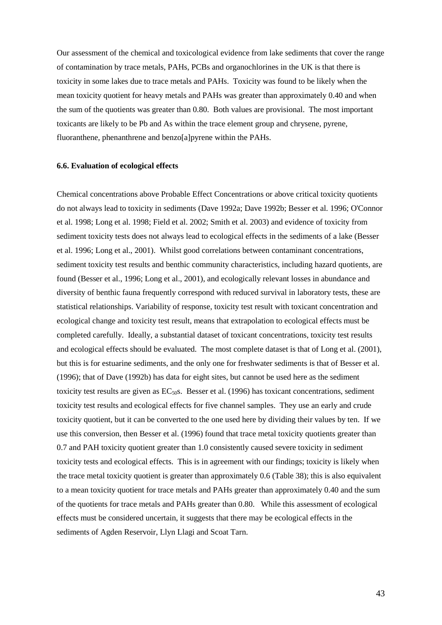Our assessment of the chemical and toxicological evidence from lake sediments that cover the range of contamination by trace metals, PAHs, PCBs and organochlorines in the UK is that there is toxicity in some lakes due to trace metals and PAHs. Toxicity was found to be likely when the mean toxicity quotient for heavy metals and PAHs was greater than approximately 0.40 and when the sum of the quotients was greater than 0.80. Both values are provisional. The most important toxicants are likely to be Pb and As within the trace element group and chrysene, pyrene, fluoranthene, phenanthrene and benzo[a]pyrene within the PAHs.

### **6.6. Evaluation of ecological effects**

Chemical concentrations above Probable Effect Concentrations or above critical toxicity quotients do not always lead to toxicity in sediments (Dave 1992a; Dave 1992b; Besser et al. 1996; O'Connor et al. 1998; Long et al. 1998; Field et al. 2002; Smith et al. 2003) and evidence of toxicity from sediment toxicity tests does not always lead to ecological effects in the sediments of a lake (Besser et al. 1996; Long et al., 2001). Whilst good correlations between contaminant concentrations, sediment toxicity test results and benthic community characteristics, including hazard quotients, are found (Besser et al., 1996; Long et al., 2001), and ecologically relevant losses in abundance and diversity of benthic fauna frequently correspond with reduced survival in laboratory tests, these are statistical relationships. Variability of response, toxicity test result with toxicant concentration and ecological change and toxicity test result, means that extrapolation to ecological effects must be completed carefully. Ideally, a substantial dataset of toxicant concentrations, toxicity test results and ecological effects should be evaluated. The most complete dataset is that of Long et al. (2001), but this is for estuarine sediments, and the only one for freshwater sediments is that of Besser et al. (1996); that of Dave (1992b) has data for eight sites, but cannot be used here as the sediment toxicity test results are given as  $EC<sub>50</sub>S$ . Besser et al. (1996) has toxicant concentrations, sediment toxicity test results and ecological effects for five channel samples. They use an early and crude toxicity quotient, but it can be converted to the one used here by dividing their values by ten. If we use this conversion, then Besser et al. (1996) found that trace metal toxicity quotients greater than 0.7 and PAH toxicity quotient greater than 1.0 consistently caused severe toxicity in sediment toxicity tests and ecological effects. This is in agreement with our findings; toxicity is likely when the trace metal toxicity quotient is greater than approximately 0.6 (Table 38); this is also equivalent to a mean toxicity quotient for trace metals and PAHs greater than approximately 0.40 and the sum of the quotients for trace metals and PAHs greater than 0.80. While this assessment of ecological effects must be considered uncertain, it suggests that there may be ecological effects in the sediments of Agden Reservoir, Llyn Llagi and Scoat Tarn.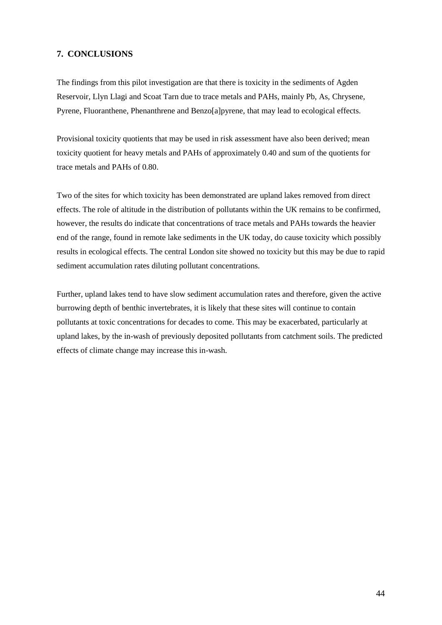## **7. CONCLUSIONS**

The findings from this pilot investigation are that there is toxicity in the sediments of Agden Reservoir, Llyn Llagi and Scoat Tarn due to trace metals and PAHs, mainly Pb, As, Chrysene, Pyrene, Fluoranthene, Phenanthrene and Benzo[a]pyrene, that may lead to ecological effects.

Provisional toxicity quotients that may be used in risk assessment have also been derived; mean toxicity quotient for heavy metals and PAHs of approximately 0.40 and sum of the quotients for trace metals and PAHs of 0.80.

Two of the sites for which toxicity has been demonstrated are upland lakes removed from direct effects. The role of altitude in the distribution of pollutants within the UK remains to be confirmed, however, the results do indicate that concentrations of trace metals and PAHs towards the heavier end of the range, found in remote lake sediments in the UK today, do cause toxicity which possibly results in ecological effects. The central London site showed no toxicity but this may be due to rapid sediment accumulation rates diluting pollutant concentrations.

Further, upland lakes tend to have slow sediment accumulation rates and therefore, given the active burrowing depth of benthic invertebrates, it is likely that these sites will continue to contain pollutants at toxic concentrations for decades to come. This may be exacerbated, particularly at upland lakes, by the in-wash of previously deposited pollutants from catchment soils. The predicted effects of climate change may increase this in-wash.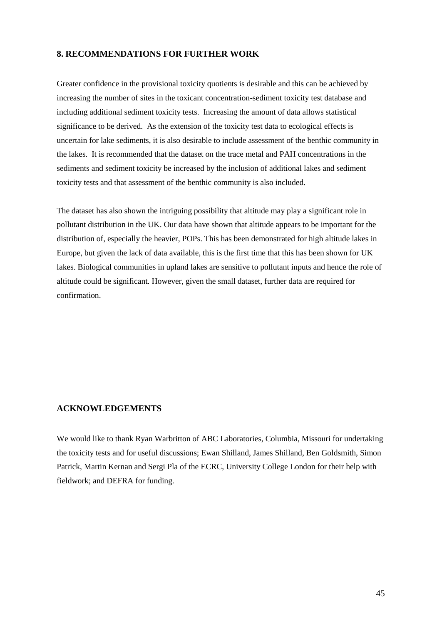## **8. RECOMMENDATIONS FOR FURTHER WORK**

Greater confidence in the provisional toxicity quotients is desirable and this can be achieved by increasing the number of sites in the toxicant concentration-sediment toxicity test database and including additional sediment toxicity tests. Increasing the amount of data allows statistical significance to be derived. As the extension of the toxicity test data to ecological effects is uncertain for lake sediments, it is also desirable to include assessment of the benthic community in the lakes. It is recommended that the dataset on the trace metal and PAH concentrations in the sediments and sediment toxicity be increased by the inclusion of additional lakes and sediment toxicity tests and that assessment of the benthic community is also included.

The dataset has also shown the intriguing possibility that altitude may play a significant role in pollutant distribution in the UK. Our data have shown that altitude appears to be important for the distribution of, especially the heavier, POPs. This has been demonstrated for high altitude lakes in Europe, but given the lack of data available, this is the first time that this has been shown for UK lakes. Biological communities in upland lakes are sensitive to pollutant inputs and hence the role of altitude could be significant. However, given the small dataset, further data are required for confirmation.

## **ACKNOWLEDGEMENTS**

We would like to thank Ryan Warbritton of ABC Laboratories, Columbia, Missouri for undertaking the toxicity tests and for useful discussions; Ewan Shilland, James Shilland, Ben Goldsmith, Simon Patrick, Martin Kernan and Sergi Pla of the ECRC, University College London for their help with fieldwork; and DEFRA for funding.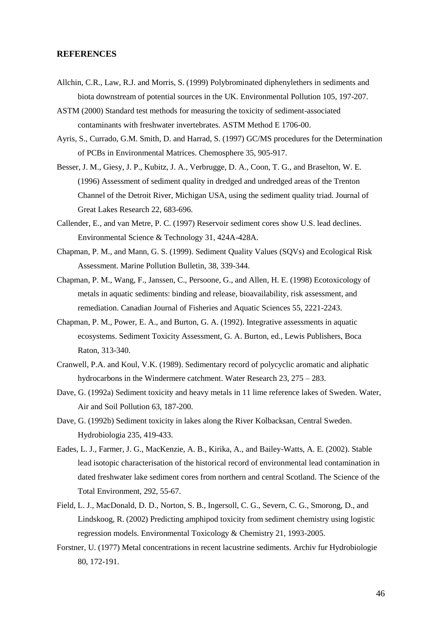## **REFERENCES**

- Allchin, C.R., Law, R.J. and Morris, S. (1999) Polybrominated diphenylethers in sediments and biota downstream of potential sources in the UK. Environmental Pollution 105, 197-207.
- ASTM (2000) Standard test methods for measuring the toxicity of sediment-associated contaminants with freshwater invertebrates. ASTM Method E 1706-00.
- Ayris, S., Currado, G.M. Smith, D. and Harrad, S. (1997) GC/MS procedures for the Determination of PCBs in Environmental Matrices. Chemosphere 35, 905-917.
- Besser, J. M., Giesy, J. P., Kubitz, J. A., Verbrugge, D. A., Coon, T. G., and Braselton, W. E. (1996) Assessment of sediment quality in dredged and undredged areas of the Trenton Channel of the Detroit River, Michigan USA, using the sediment quality triad. Journal of Great Lakes Research 22, 683-696.
- Callender, E., and van Metre, P. C. (1997) Reservoir sediment cores show U.S. lead declines. Environmental Science & Technology 31, 424A-428A.
- Chapman, P. M., and Mann, G. S. (1999). Sediment Quality Values (SQVs) and Ecological Risk Assessment. Marine Pollution Bulletin, 38, 339-344.
- Chapman, P. M., Wang, F., Janssen, C., Persoone, G., and Allen, H. E. (1998) Ecotoxicology of metals in aquatic sediments: binding and release, bioavailability, risk assessment, and remediation. Canadian Journal of Fisheries and Aquatic Sciences 55, 2221-2243.
- Chapman, P. M., Power, E. A., and Burton, G. A. (1992). Integrative assessments in aquatic ecosystems. Sediment Toxicity Assessment, G. A. Burton, ed., Lewis Publishers, Boca Raton, 313-340.
- Cranwell, P.A. and Koul, V.K. (1989). Sedimentary record of polycyclic aromatic and aliphatic hydrocarbons in the Windermere catchment. Water Research 23, 275 – 283.
- Dave, G. (1992a) Sediment toxicity and heavy metals in 11 lime reference lakes of Sweden. Water, Air and Soil Pollution 63, 187-200.
- Dave, G. (1992b) Sediment toxicity in lakes along the River Kolbacksan, Central Sweden. Hydrobiologia 235, 419-433.
- Eades, L. J., Farmer, J. G., MacKenzie, A. B., Kirika, A., and Bailey-Watts, A. E. (2002). Stable lead isotopic characterisation of the historical record of environmental lead contamination in dated freshwater lake sediment cores from northern and central Scotland. The Science of the Total Environment, 292, 55-67.
- Field, L. J., MacDonald, D. D., Norton, S. B., Ingersoll, C. G., Severn, C. G., Smorong, D., and Lindskoog, R. (2002) Predicting amphipod toxicity from sediment chemistry using logistic regression models. Environmental Toxicology & Chemistry 21, 1993-2005.
- Forstner, U. (1977) Metal concentrations in recent lacustrine sediments. Archiv fur Hydrobiologie 80, 172-191.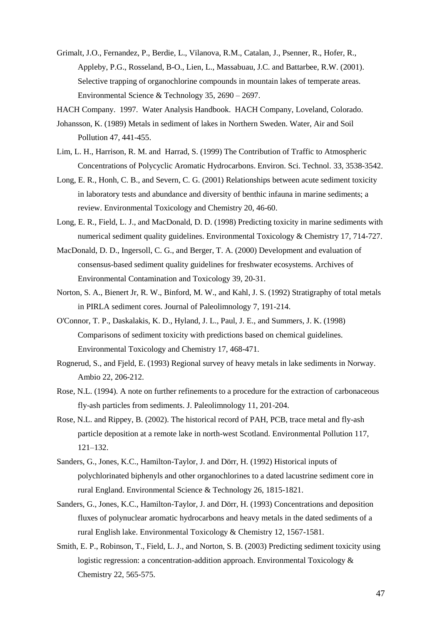- Grimalt, J.O., Fernandez, P., Berdie, L., Vilanova, R.M., Catalan, J., Psenner, R., Hofer, R., Appleby, P.G., Rosseland, B-O., Lien, L., Massabuau, J.C. and Battarbee, R.W. (2001). Selective trapping of organochlorine compounds in mountain lakes of temperate areas. Environmental Science & Technology 35, 2690 – 2697.
- HACH Company. 1997. Water Analysis Handbook. HACH Company, Loveland, Colorado.
- Johansson, K. (1989) Metals in sediment of lakes in Northern Sweden. Water, Air and Soil Pollution 47, 441-455.
- Lim, L. H., Harrison, R. M. and Harrad, S. (1999) The Contribution of Traffic to Atmospheric Concentrations of Polycyclic Aromatic Hydrocarbons. Environ. Sci. Technol*.* 33, 3538-3542.
- Long, E. R., Honh, C. B., and Severn, C. G. (2001) Relationships between acute sediment toxicity in laboratory tests and abundance and diversity of benthic infauna in marine sediments; a review. Environmental Toxicology and Chemistry 20, 46-60.
- Long, E. R., Field, L. J., and MacDonald, D. D. (1998) Predicting toxicity in marine sediments with numerical sediment quality guidelines. Environmental Toxicology & Chemistry 17, 714-727.
- MacDonald, D. D., Ingersoll, C. G., and Berger, T. A. (2000) Development and evaluation of consensus-based sediment quality guidelines for freshwater ecosystems. Archives of Environmental Contamination and Toxicology 39, 20-31.
- Norton, S. A., Bienert Jr, R. W., Binford, M. W., and Kahl, J. S. (1992) Stratigraphy of total metals in PIRLA sediment cores. Journal of Paleolimnology 7, 191-214.
- O'Connor, T. P., Daskalakis, K. D., Hyland, J. L., Paul, J. E., and Summers, J. K. (1998) Comparisons of sediment toxicity with predictions based on chemical guidelines. Environmental Toxicology and Chemistry 17, 468-471.
- Rognerud, S., and Fjeld, E. (1993) Regional survey of heavy metals in lake sediments in Norway. Ambio 22, 206-212.
- Rose, N.L. (1994). A note on further refinements to a procedure for the extraction of carbonaceous fly-ash particles from sediments. J. Paleolimnology 11, 201-204.
- Rose, N.L. and Rippey, B. (2002). The historical record of PAH, PCB, trace metal and fly-ash particle deposition at a remote lake in north-west Scotland. Environmental Pollution 117, 121–132.
- Sanders, G., Jones, K.C., Hamilton-Taylor, J. and Dörr, H. (1992) Historical inputs of polychlorinated biphenyls and other organochlorines to a dated lacustrine sediment core in rural England. Environmental Science & Technology 26, 1815-1821.
- Sanders, G., Jones, K.C., Hamilton-Taylor, J. and Dörr, H. (1993) Concentrations and deposition fluxes of polynuclear aromatic hydrocarbons and heavy metals in the dated sediments of a rural English lake. Environmental Toxicology & Chemistry 12, 1567-1581.
- Smith, E. P., Robinson, T., Field, L. J., and Norton, S. B. (2003) Predicting sediment toxicity using logistic regression: a concentration-addition approach. Environmental Toxicology & Chemistry 22, 565-575.